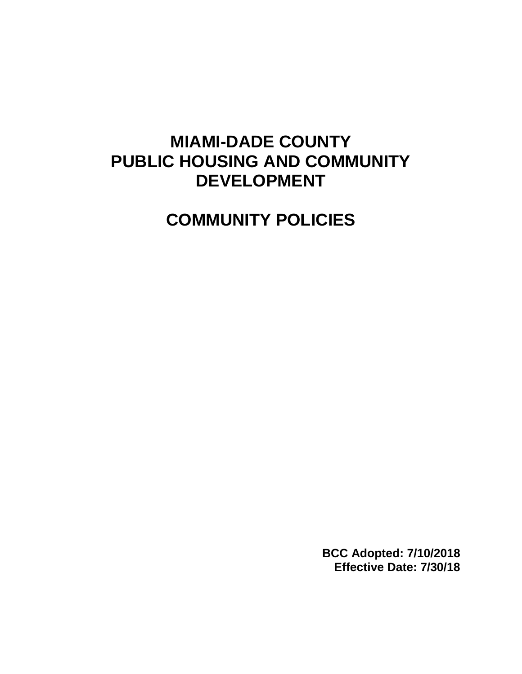# **MIAMI-DADE COUNTY PUBLIC HOUSING AND COMMUNITY DEVELOPMENT**

**COMMUNITY POLICIES**

**BCC Adopted: 7/10/2018 Effective Date: 7/30/18**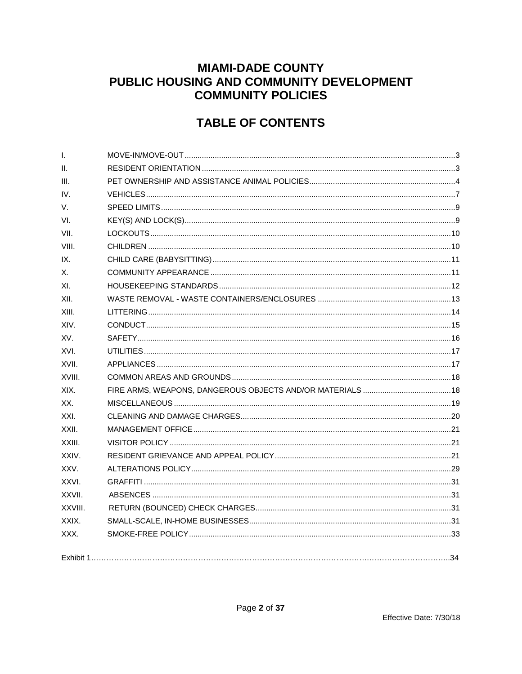# **MIAMI-DADE COUNTY** PUBLIC HOUSING AND COMMUNITY DEVELOPMENT **COMMUNITY POLICIES**

# **TABLE OF CONTENTS**

| $\mathbf{I}$ . |  |
|----------------|--|
| II.            |  |
| III.           |  |
| IV.            |  |
| V.             |  |
| VI.            |  |
| VII.           |  |
| VIII.          |  |
| IX.            |  |
| Х.             |  |
| XI.            |  |
| XII.           |  |
| XIII.          |  |
| XIV.           |  |
| XV.            |  |
| XVI.           |  |
| XVII.          |  |
| XVIII.         |  |
| XIX.           |  |
| XX.            |  |
| XXI.           |  |
| XXII.          |  |
| XXIII.         |  |
| XXIV.          |  |
| XXV.           |  |
| XXVI.          |  |
| XXVII.         |  |
| XXVIII.        |  |
| XXIX.          |  |
| XXX.           |  |
|                |  |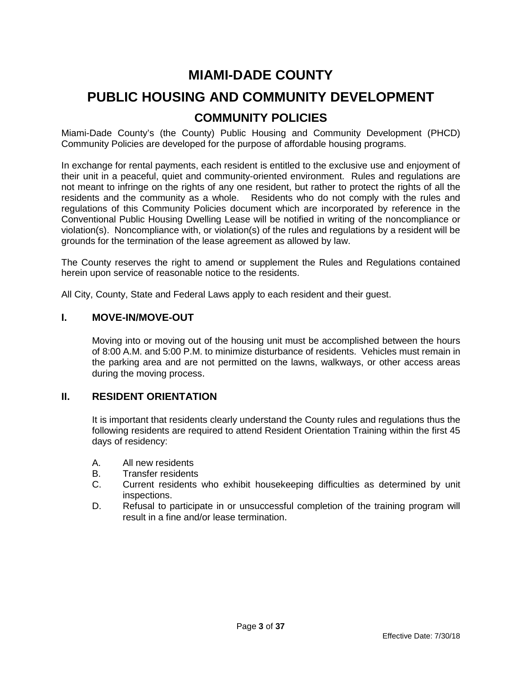# **MIAMI-DADE COUNTY**

# **PUBLIC HOUSING AND COMMUNITY DEVELOPMENT COMMUNITY POLICIES**

Miami-Dade County's (the County) Public Housing and Community Development (PHCD) Community Policies are developed for the purpose of affordable housing programs.

In exchange for rental payments, each resident is entitled to the exclusive use and enjoyment of their unit in a peaceful, quiet and community-oriented environment. Rules and regulations are not meant to infringe on the rights of any one resident, but rather to protect the rights of all the residents and the community as a whole. Residents who do not comply with the rules and regulations of this Community Policies document which are incorporated by reference in the Conventional Public Housing Dwelling Lease will be notified in writing of the noncompliance or violation(s). Noncompliance with, or violation(s) of the rules and regulations by a resident will be grounds for the termination of the lease agreement as allowed by law.

The County reserves the right to amend or supplement the Rules and Regulations contained herein upon service of reasonable notice to the residents.

All City, County, State and Federal Laws apply to each resident and their guest.

#### <span id="page-2-0"></span>**I. MOVE-IN/MOVE-OUT**

Moving into or moving out of the housing unit must be accomplished between the hours of 8:00 A.M. and 5:00 P.M. to minimize disturbance of residents. Vehicles must remain in the parking area and are not permitted on the lawns, walkways, or other access areas during the moving process.

#### <span id="page-2-1"></span>**II. RESIDENT ORIENTATION**

It is important that residents clearly understand the County rules and regulations thus the following residents are required to attend Resident Orientation Training within the first 45 days of residency:

- A. All new residents
- B. Transfer residents
- C. Current residents who exhibit housekeeping difficulties as determined by unit inspections.
- D. Refusal to participate in or unsuccessful completion of the training program will result in a fine and/or lease termination.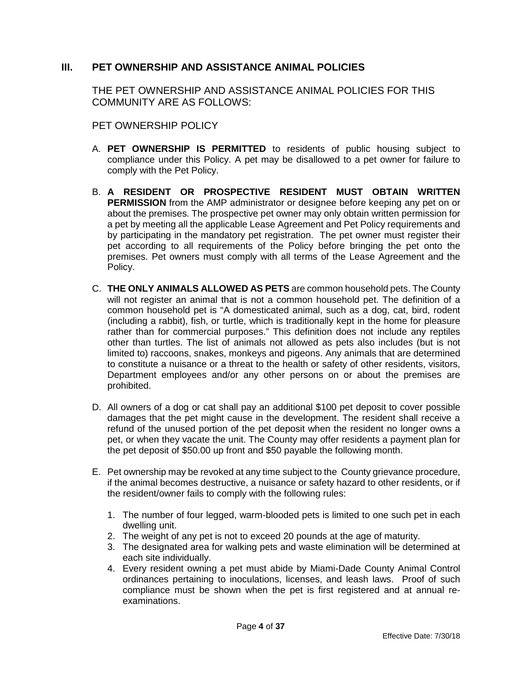# <span id="page-3-0"></span>**III. PET OWNERSHIP AND ASSISTANCE ANIMAL POLICIES**

THE PET OWNERSHIP AND ASSISTANCE ANIMAL POLICIES FOR THIS COMMUNITY ARE AS FOLLOWS:

PET OWNERSHIP POLICY

- A. **PET OWNERSHIP IS PERMITTED** to residents of public housing subject to compliance under this Policy. A pet may be disallowed to a pet owner for failure to comply with the Pet Policy.
- B. **A RESIDENT OR PROSPECTIVE RESIDENT MUST OBTAIN WRITTEN PERMISSION** from the AMP administrator or designee before keeping any pet on or about the premises. The prospective pet owner may only obtain written permission for a pet by meeting all the applicable Lease Agreement and Pet Policy requirements and by participating in the mandatory pet registration. The pet owner must register their pet according to all requirements of the Policy before bringing the pet onto the premises. Pet owners must comply with all terms of the Lease Agreement and the Policy.
- C. **THE ONLY ANIMALS ALLOWED AS PETS** are common household pets. The County will not register an animal that is not a common household pet. The definition of a common household pet is "A domesticated animal, such as a dog, cat, bird, rodent (including a rabbit), fish, or turtle, which is traditionally kept in the home for pleasure rather than for commercial purposes." This definition does not include any reptiles other than turtles. The list of animals not allowed as pets also includes (but is not limited to) raccoons, snakes, monkeys and pigeons. Any animals that are determined to constitute a nuisance or a threat to the health or safety of other residents, visitors, Department employees and/or any other persons on or about the premises are prohibited.
- D. All owners of a dog or cat shall pay an additional \$100 pet deposit to cover possible damages that the pet might cause in the development. The resident shall receive a refund of the unused portion of the pet deposit when the resident no longer owns a pet, or when they vacate the unit. The County may offer residents a payment plan for the pet deposit of \$50.00 up front and \$50 payable the following month.
- E. Pet ownership may be revoked at any time subject to the County grievance procedure, if the animal becomes destructive, a nuisance or safety hazard to other residents, or if the resident/owner fails to comply with the following rules:
	- 1. The number of four legged, warm-blooded pets is limited to one such pet in each dwelling unit.
	- 2. The weight of any pet is not to exceed 20 pounds at the age of maturity.
	- 3. The designated area for walking pets and waste elimination will be determined at each site individually.
	- 4. Every resident owning a pet must abide by Miami-Dade County Animal Control ordinances pertaining to inoculations, licenses, and leash laws. Proof of such compliance must be shown when the pet is first registered and at annual reexaminations.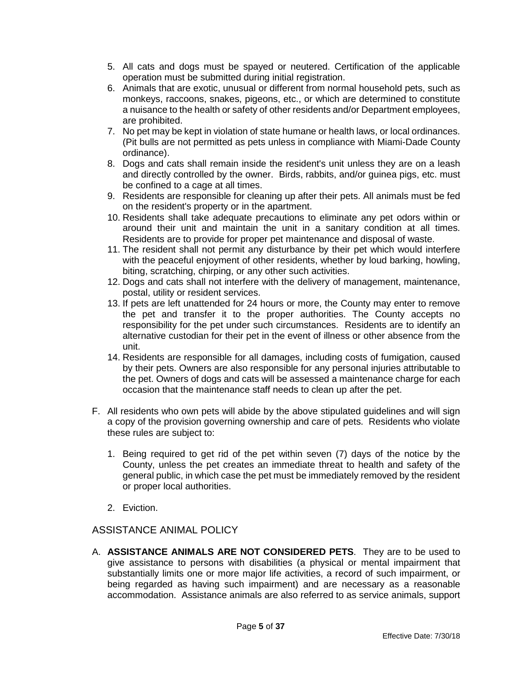- 5. All cats and dogs must be spayed or neutered. Certification of the applicable operation must be submitted during initial registration.
- 6. Animals that are exotic, unusual or different from normal household pets, such as monkeys, raccoons, snakes, pigeons, etc., or which are determined to constitute a nuisance to the health or safety of other residents and/or Department employees, are prohibited.
- 7. No pet may be kept in violation of state humane or health laws, or local ordinances. (Pit bulls are not permitted as pets unless in compliance with Miami-Dade County ordinance).
- 8. Dogs and cats shall remain inside the resident's unit unless they are on a leash and directly controlled by the owner. Birds, rabbits, and/or guinea pigs, etc. must be confined to a cage at all times.
- 9. Residents are responsible for cleaning up after their pets. All animals must be fed on the resident's property or in the apartment.
- 10. Residents shall take adequate precautions to eliminate any pet odors within or around their unit and maintain the unit in a sanitary condition at all times. Residents are to provide for proper pet maintenance and disposal of waste.
- 11. The resident shall not permit any disturbance by their pet which would interfere with the peaceful enjoyment of other residents, whether by loud barking, howling, biting, scratching, chirping, or any other such activities.
- 12. Dogs and cats shall not interfere with the delivery of management, maintenance, postal, utility or resident services.
- 13. If pets are left unattended for 24 hours or more, the County may enter to remove the pet and transfer it to the proper authorities. The County accepts no responsibility for the pet under such circumstances. Residents are to identify an alternative custodian for their pet in the event of illness or other absence from the unit.
- 14. Residents are responsible for all damages, including costs of fumigation, caused by their pets. Owners are also responsible for any personal injuries attributable to the pet. Owners of dogs and cats will be assessed a maintenance charge for each occasion that the maintenance staff needs to clean up after the pet.
- F. All residents who own pets will abide by the above stipulated guidelines and will sign a copy of the provision governing ownership and care of pets. Residents who violate these rules are subject to:
	- 1. Being required to get rid of the pet within seven (7) days of the notice by the County, unless the pet creates an immediate threat to health and safety of the general public, in which case the pet must be immediately removed by the resident or proper local authorities.
	- 2. Eviction.

# ASSISTANCE ANIMAL POLICY

A. **ASSISTANCE ANIMALS ARE NOT CONSIDERED PETS**. They are to be used to give assistance to persons with disabilities (a physical or mental impairment that substantially limits one or more major life activities, a record of such impairment, or being regarded as having such impairment) and are necessary as a reasonable accommodation. Assistance animals are also referred to as service animals, support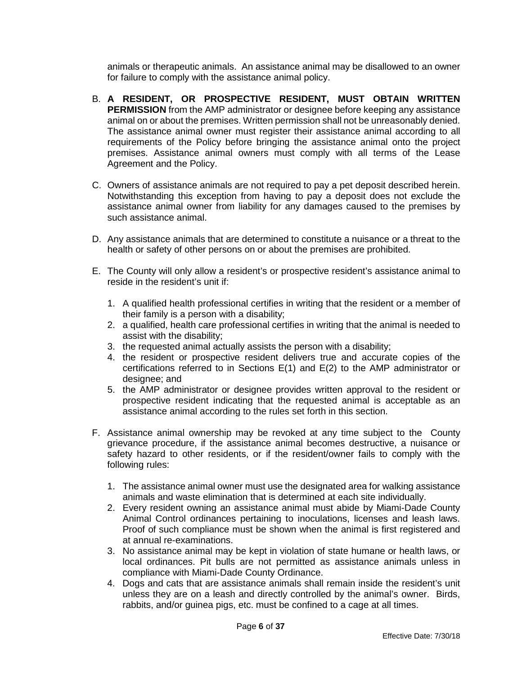animals or therapeutic animals. An assistance animal may be disallowed to an owner for failure to comply with the assistance animal policy.

- B. **A RESIDENT, OR PROSPECTIVE RESIDENT, MUST OBTAIN WRITTEN PERMISSION** from the AMP administrator or designee before keeping any assistance animal on or about the premises. Written permission shall not be unreasonably denied. The assistance animal owner must register their assistance animal according to all requirements of the Policy before bringing the assistance animal onto the project premises. Assistance animal owners must comply with all terms of the Lease Agreement and the Policy.
- C. Owners of assistance animals are not required to pay a pet deposit described herein. Notwithstanding this exception from having to pay a deposit does not exclude the assistance animal owner from liability for any damages caused to the premises by such assistance animal.
- D. Any assistance animals that are determined to constitute a nuisance or a threat to the health or safety of other persons on or about the premises are prohibited.
- E. The County will only allow a resident's or prospective resident's assistance animal to reside in the resident's unit if:
	- 1. A qualified health professional certifies in writing that the resident or a member of their family is a person with a disability;
	- 2. a qualified, health care professional certifies in writing that the animal is needed to assist with the disability;
	- 3. the requested animal actually assists the person with a disability;
	- 4. the resident or prospective resident delivers true and accurate copies of the certifications referred to in Sections E(1) and E(2) to the AMP administrator or designee; and
	- 5. the AMP administrator or designee provides written approval to the resident or prospective resident indicating that the requested animal is acceptable as an assistance animal according to the rules set forth in this section.
- F. Assistance animal ownership may be revoked at any time subject to the County grievance procedure, if the assistance animal becomes destructive, a nuisance or safety hazard to other residents, or if the resident/owner fails to comply with the following rules:
	- 1. The assistance animal owner must use the designated area for walking assistance animals and waste elimination that is determined at each site individually.
	- 2. Every resident owning an assistance animal must abide by Miami-Dade County Animal Control ordinances pertaining to inoculations, licenses and leash laws. Proof of such compliance must be shown when the animal is first registered and at annual re-examinations.
	- 3. No assistance animal may be kept in violation of state humane or health laws, or local ordinances. Pit bulls are not permitted as assistance animals unless in compliance with Miami-Dade County Ordinance.
	- 4. Dogs and cats that are assistance animals shall remain inside the resident's unit unless they are on a leash and directly controlled by the animal's owner. Birds, rabbits, and/or guinea pigs, etc. must be confined to a cage at all times.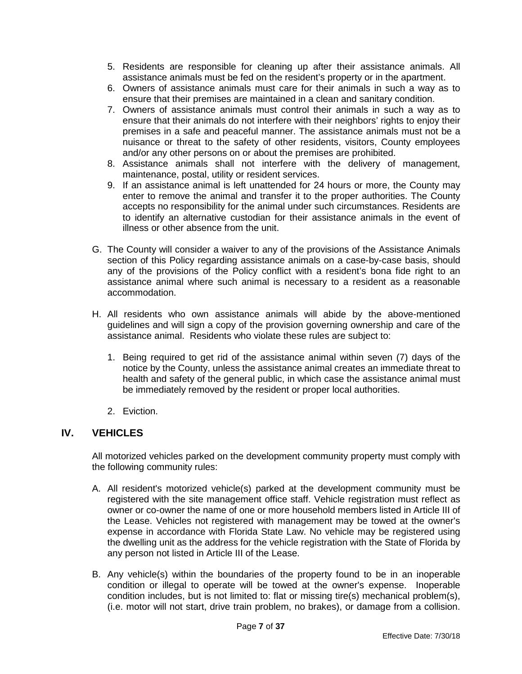- 5. Residents are responsible for cleaning up after their assistance animals. All assistance animals must be fed on the resident's property or in the apartment.
- 6. Owners of assistance animals must care for their animals in such a way as to ensure that their premises are maintained in a clean and sanitary condition.
- 7. Owners of assistance animals must control their animals in such a way as to ensure that their animals do not interfere with their neighbors' rights to enjoy their premises in a safe and peaceful manner. The assistance animals must not be a nuisance or threat to the safety of other residents, visitors, County employees and/or any other persons on or about the premises are prohibited.
- 8. Assistance animals shall not interfere with the delivery of management, maintenance, postal, utility or resident services.
- 9. If an assistance animal is left unattended for 24 hours or more, the County may enter to remove the animal and transfer it to the proper authorities. The County accepts no responsibility for the animal under such circumstances. Residents are to identify an alternative custodian for their assistance animals in the event of illness or other absence from the unit.
- G. The County will consider a waiver to any of the provisions of the Assistance Animals section of this Policy regarding assistance animals on a case-by-case basis, should any of the provisions of the Policy conflict with a resident's bona fide right to an assistance animal where such animal is necessary to a resident as a reasonable accommodation.
- H. All residents who own assistance animals will abide by the above-mentioned guidelines and will sign a copy of the provision governing ownership and care of the assistance animal. Residents who violate these rules are subject to:
	- 1. Being required to get rid of the assistance animal within seven (7) days of the notice by the County, unless the assistance animal creates an immediate threat to health and safety of the general public, in which case the assistance animal must be immediately removed by the resident or proper local authorities.
	- 2. Eviction.

# <span id="page-6-0"></span>**IV. VEHICLES**

All motorized vehicles parked on the development community property must comply with the following community rules:

- A. All resident's motorized vehicle(s) parked at the development community must be registered with the site management office staff. Vehicle registration must reflect as owner or co-owner the name of one or more household members listed in Article III of the Lease. Vehicles not registered with management may be towed at the owner's expense in accordance with Florida State Law. No vehicle may be registered using the dwelling unit as the address for the vehicle registration with the State of Florida by any person not listed in Article III of the Lease.
- B. Any vehicle(s) within the boundaries of the property found to be in an inoperable condition or illegal to operate will be towed at the owner's expense. Inoperable condition includes, but is not limited to: flat or missing tire(s) mechanical problem(s), (i.e. motor will not start, drive train problem, no brakes), or damage from a collision.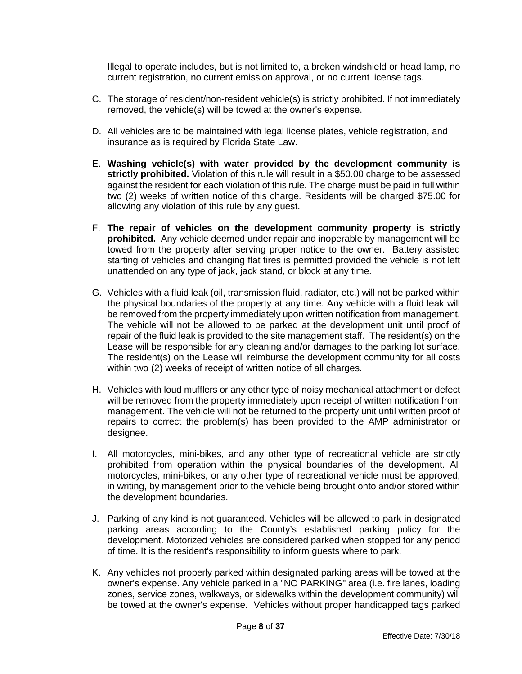Illegal to operate includes, but is not limited to, a broken windshield or head lamp, no current registration, no current emission approval, or no current license tags.

- C. The storage of resident/non-resident vehicle(s) is strictly prohibited. If not immediately removed, the vehicle(s) will be towed at the owner's expense.
- D. All vehicles are to be maintained with legal license plates, vehicle registration, and insurance as is required by Florida State Law.
- E. **Washing vehicle(s) with water provided by the development community is strictly prohibited.** Violation of this rule will result in a \$50.00 charge to be assessed against the resident for each violation of this rule. The charge must be paid in full within two (2) weeks of written notice of this charge. Residents will be charged \$75.00 for allowing any violation of this rule by any guest.
- F. **The repair of vehicles on the development community property is strictly prohibited.** Any vehicle deemed under repair and inoperable by management will be towed from the property after serving proper notice to the owner. Battery assisted starting of vehicles and changing flat tires is permitted provided the vehicle is not left unattended on any type of jack, jack stand, or block at any time.
- G. Vehicles with a fluid leak (oil, transmission fluid, radiator, etc.) will not be parked within the physical boundaries of the property at any time. Any vehicle with a fluid leak will be removed from the property immediately upon written notification from management. The vehicle will not be allowed to be parked at the development unit until proof of repair of the fluid leak is provided to the site management staff. The resident(s) on the Lease will be responsible for any cleaning and/or damages to the parking lot surface. The resident(s) on the Lease will reimburse the development community for all costs within two (2) weeks of receipt of written notice of all charges.
- H. Vehicles with loud mufflers or any other type of noisy mechanical attachment or defect will be removed from the property immediately upon receipt of written notification from management. The vehicle will not be returned to the property unit until written proof of repairs to correct the problem(s) has been provided to the AMP administrator or designee.
- I. All motorcycles, mini-bikes, and any other type of recreational vehicle are strictly prohibited from operation within the physical boundaries of the development. All motorcycles, mini-bikes, or any other type of recreational vehicle must be approved, in writing, by management prior to the vehicle being brought onto and/or stored within the development boundaries.
- J. Parking of any kind is not guaranteed. Vehicles will be allowed to park in designated parking areas according to the County's established parking policy for the development. Motorized vehicles are considered parked when stopped for any period of time. It is the resident's responsibility to inform guests where to park.
- K. Any vehicles not properly parked within designated parking areas will be towed at the owner's expense. Any vehicle parked in a "NO PARKING" area (i.e. fire lanes, loading zones, service zones, walkways, or sidewalks within the development community) will be towed at the owner's expense. Vehicles without proper handicapped tags parked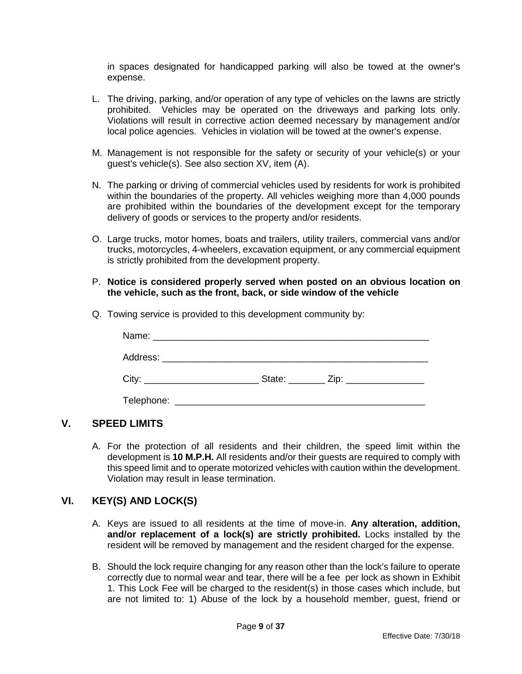in spaces designated for handicapped parking will also be towed at the owner's expense.

- L. The driving, parking, and/or operation of any type of vehicles on the lawns are strictly prohibited. Vehicles may be operated on the driveways and parking lots only. Violations will result in corrective action deemed necessary by management and/or local police agencies. Vehicles in violation will be towed at the owner's expense.
- M. Management is not responsible for the safety or security of your vehicle(s) or your guest's vehicle(s). See also section XV, item (A).
- N. The parking or driving of commercial vehicles used by residents for work is prohibited within the boundaries of the property. All vehicles weighing more than 4,000 pounds are prohibited within the boundaries of the development except for the temporary delivery of goods or services to the property and/or residents.
- O. Large trucks, motor homes, boats and trailers, utility trailers, commercial vans and/or trucks, motorcycles, 4-wheelers, excavation equipment, or any commercial equipment is strictly prohibited from the development property.
- P. **Notice is considered properly served when posted on an obvious location on the vehicle, such as the front, back, or side window of the vehicle**
- Q. Towing service is provided to this development community by:

| City:                                                                    | State: _________ Zip: ________________ |
|--------------------------------------------------------------------------|----------------------------------------|
| Telephone:<br><u> 1989 - John Stein, Amerikaansk politiker (</u> † 1920) |                                        |

# <span id="page-8-0"></span>**V. SPEED LIMITS**

A. For the protection of all residents and their children, the speed limit within the development is **10 M.P.H.** All residents and/or their guests are required to comply with this speed limit and to operate motorized vehicles with caution within the development. Violation may result in lease termination.

#### <span id="page-8-1"></span>**VI. KEY(S) AND LOCK(S)**

- A. Keys are issued to all residents at the time of move-in. **Any alteration, addition, and/or replacement of a lock(s) are strictly prohibited.** Locks installed by the resident will be removed by management and the resident charged for the expense.
- B. Should the lock require changing for any reason other than the lock's failure to operate correctly due to normal wear and tear, there will be a fee per lock as shown in Exhibit 1. This Lock Fee will be charged to the resident(s) in those cases which include, but are not limited to: 1) Abuse of the lock by a household member, guest, friend or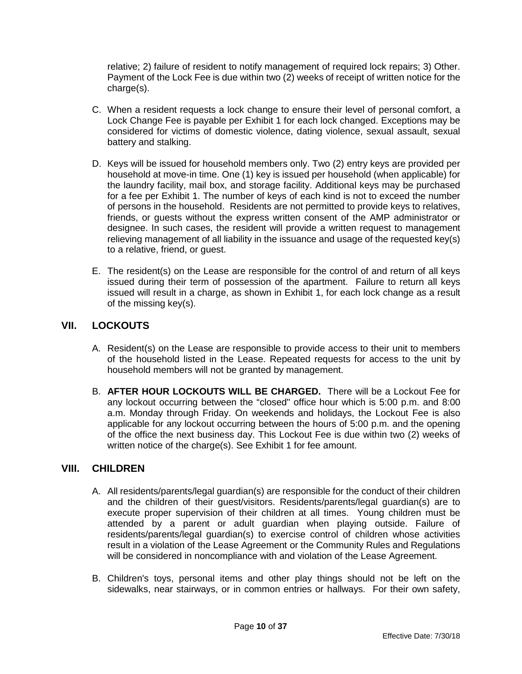relative; 2) failure of resident to notify management of required lock repairs; 3) Other. Payment of the Lock Fee is due within two (2) weeks of receipt of written notice for the charge(s).

- C. When a resident requests a lock change to ensure their level of personal comfort, a Lock Change Fee is payable per Exhibit 1 for each lock changed. Exceptions may be considered for victims of domestic violence, dating violence, sexual assault, sexual battery and stalking.
- D. Keys will be issued for household members only. Two (2) entry keys are provided per household at move-in time. One (1) key is issued per household (when applicable) for the laundry facility, mail box, and storage facility. Additional keys may be purchased for a fee per Exhibit 1. The number of keys of each kind is not to exceed the number of persons in the household. Residents are not permitted to provide keys to relatives, friends, or guests without the express written consent of the AMP administrator or designee. In such cases, the resident will provide a written request to management relieving management of all liability in the issuance and usage of the requested key(s) to a relative, friend, or guest.
- E. The resident(s) on the Lease are responsible for the control of and return of all keys issued during their term of possession of the apartment. Failure to return all keys issued will result in a charge, as shown in Exhibit 1, for each lock change as a result of the missing key(s).

# <span id="page-9-0"></span>**VII. LOCKOUTS**

- A. Resident(s) on the Lease are responsible to provide access to their unit to members of the household listed in the Lease. Repeated requests for access to the unit by household members will not be granted by management.
- B. **AFTER HOUR LOCKOUTS WILL BE CHARGED.** There will be a Lockout Fee for any lockout occurring between the "closed" office hour which is 5:00 p.m. and 8:00 a.m. Monday through Friday. On weekends and holidays, the Lockout Fee is also applicable for any lockout occurring between the hours of 5:00 p.m. and the opening of the office the next business day. This Lockout Fee is due within two (2) weeks of written notice of the charge(s). See Exhibit 1 for fee amount.

# <span id="page-9-1"></span>**VIII. CHILDREN**

- A. All residents/parents/legal guardian(s) are responsible for the conduct of their children and the children of their guest/visitors. Residents/parents/legal guardian(s) are to execute proper supervision of their children at all times. Young children must be attended by a parent or adult guardian when playing outside. Failure of residents/parents/legal guardian(s) to exercise control of children whose activities result in a violation of the Lease Agreement or the Community Rules and Regulations will be considered in noncompliance with and violation of the Lease Agreement.
- B. Children's toys, personal items and other play things should not be left on the sidewalks, near stairways, or in common entries or hallways. For their own safety,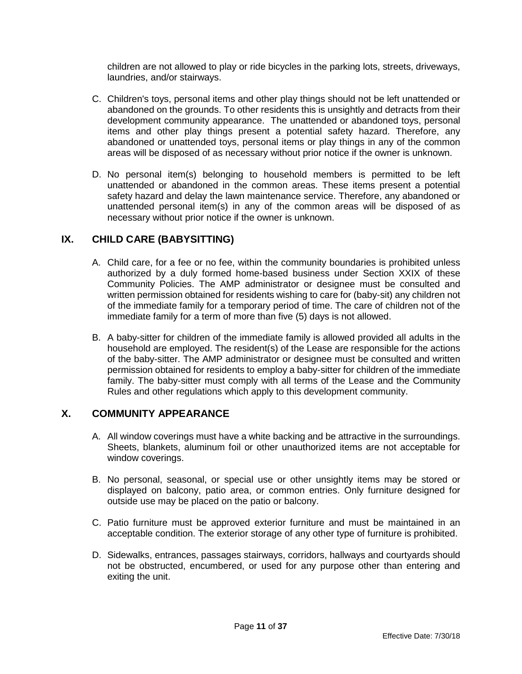children are not allowed to play or ride bicycles in the parking lots, streets, driveways, laundries, and/or stairways.

- C. Children's toys, personal items and other play things should not be left unattended or abandoned on the grounds. To other residents this is unsightly and detracts from their development community appearance. The unattended or abandoned toys, personal items and other play things present a potential safety hazard. Therefore, any abandoned or unattended toys, personal items or play things in any of the common areas will be disposed of as necessary without prior notice if the owner is unknown.
- D. No personal item(s) belonging to household members is permitted to be left unattended or abandoned in the common areas. These items present a potential safety hazard and delay the lawn maintenance service. Therefore, any abandoned or unattended personal item(s) in any of the common areas will be disposed of as necessary without prior notice if the owner is unknown.

# <span id="page-10-0"></span>**IX. CHILD CARE (BABYSITTING)**

- A. Child care, for a fee or no fee, within the community boundaries is prohibited unless authorized by a duly formed home-based business under Section XXIX of these Community Policies. The AMP administrator or designee must be consulted and written permission obtained for residents wishing to care for (baby-sit) any children not of the immediate family for a temporary period of time. The care of children not of the immediate family for a term of more than five (5) days is not allowed.
- B. A baby-sitter for children of the immediate family is allowed provided all adults in the household are employed. The resident(s) of the Lease are responsible for the actions of the baby-sitter. The AMP administrator or designee must be consulted and written permission obtained for residents to employ a baby-sitter for children of the immediate family. The baby-sitter must comply with all terms of the Lease and the Community Rules and other regulations which apply to this development community.

# <span id="page-10-1"></span>**X. COMMUNITY APPEARANCE**

- A. All window coverings must have a white backing and be attractive in the surroundings. Sheets, blankets, aluminum foil or other unauthorized items are not acceptable for window coverings.
- B. No personal, seasonal, or special use or other unsightly items may be stored or displayed on balcony, patio area, or common entries. Only furniture designed for outside use may be placed on the patio or balcony.
- C. Patio furniture must be approved exterior furniture and must be maintained in an acceptable condition. The exterior storage of any other type of furniture is prohibited.
- D. Sidewalks, entrances, passages stairways, corridors, hallways and courtyards should not be obstructed, encumbered, or used for any purpose other than entering and exiting the unit.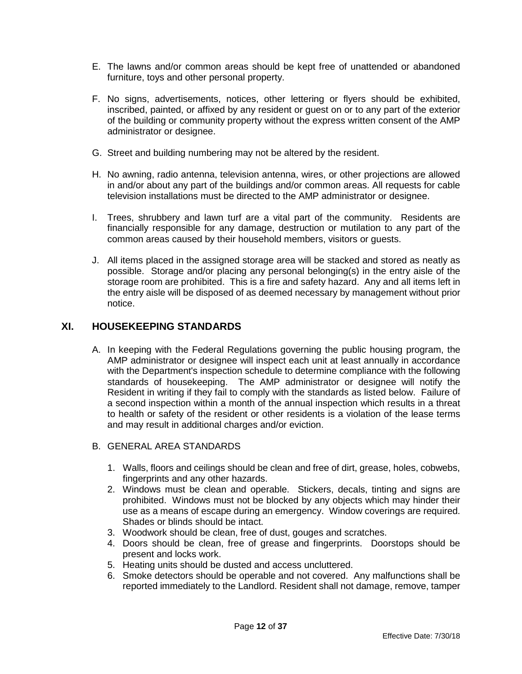- E. The lawns and/or common areas should be kept free of unattended or abandoned furniture, toys and other personal property.
- F. No signs, advertisements, notices, other lettering or flyers should be exhibited, inscribed, painted, or affixed by any resident or guest on or to any part of the exterior of the building or community property without the express written consent of the AMP administrator or designee.
- G. Street and building numbering may not be altered by the resident.
- H. No awning, radio antenna, television antenna, wires, or other projections are allowed in and/or about any part of the buildings and/or common areas. All requests for cable television installations must be directed to the AMP administrator or designee.
- I. Trees, shrubbery and lawn turf are a vital part of the community. Residents are financially responsible for any damage, destruction or mutilation to any part of the common areas caused by their household members, visitors or guests.
- J. All items placed in the assigned storage area will be stacked and stored as neatly as possible. Storage and/or placing any personal belonging(s) in the entry aisle of the storage room are prohibited. This is a fire and safety hazard. Any and all items left in the entry aisle will be disposed of as deemed necessary by management without prior notice.

# <span id="page-11-0"></span>**XI. HOUSEKEEPING STANDARDS**

- A. In keeping with the Federal Regulations governing the public housing program, the AMP administrator or designee will inspect each unit at least annually in accordance with the Department's inspection schedule to determine compliance with the following standards of housekeeping. The AMP administrator or designee will notify the Resident in writing if they fail to comply with the standards as listed below. Failure of a second inspection within a month of the annual inspection which results in a threat to health or safety of the resident or other residents is a violation of the lease terms and may result in additional charges and/or eviction.
- B. GENERAL AREA STANDARDS
	- 1. Walls, floors and ceilings should be clean and free of dirt, grease, holes, cobwebs, fingerprints and any other hazards.
	- 2. Windows must be clean and operable. Stickers, decals, tinting and signs are prohibited. Windows must not be blocked by any objects which may hinder their use as a means of escape during an emergency. Window coverings are required. Shades or blinds should be intact.
	- 3. Woodwork should be clean, free of dust, gouges and scratches.
	- 4. Doors should be clean, free of grease and fingerprints. Doorstops should be present and locks work.
	- 5. Heating units should be dusted and access uncluttered.
	- 6. Smoke detectors should be operable and not covered. Any malfunctions shall be reported immediately to the Landlord. Resident shall not damage, remove, tamper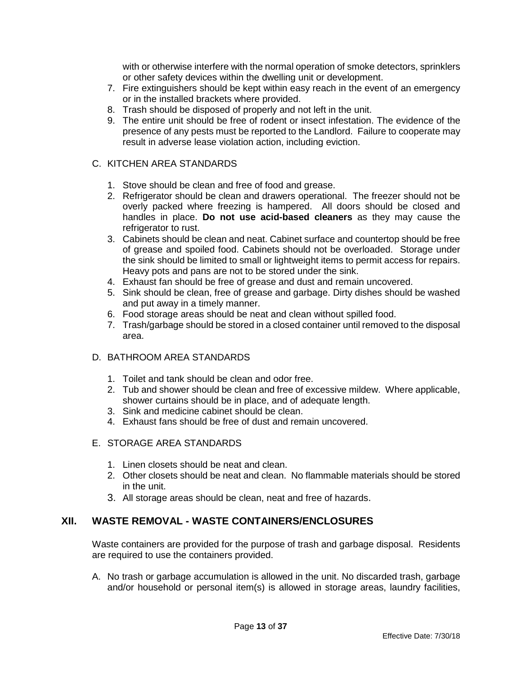with or otherwise interfere with the normal operation of smoke detectors, sprinklers or other safety devices within the dwelling unit or development.

- 7. Fire extinguishers should be kept within easy reach in the event of an emergency or in the installed brackets where provided.
- 8. Trash should be disposed of properly and not left in the unit.
- 9. The entire unit should be free of rodent or insect infestation. The evidence of the presence of any pests must be reported to the Landlord. Failure to cooperate may result in adverse lease violation action, including eviction.

#### C. KITCHEN AREA STANDARDS

- 1. Stove should be clean and free of food and grease.
- 2. Refrigerator should be clean and drawers operational. The freezer should not be overly packed where freezing is hampered. All doors should be closed and handles in place. **Do not use acid-based cleaners** as they may cause the refrigerator to rust.
- 3. Cabinets should be clean and neat. Cabinet surface and countertop should be free of grease and spoiled food. Cabinets should not be overloaded. Storage under the sink should be limited to small or lightweight items to permit access for repairs. Heavy pots and pans are not to be stored under the sink.
- 4. Exhaust fan should be free of grease and dust and remain uncovered.
- 5. Sink should be clean, free of grease and garbage. Dirty dishes should be washed and put away in a timely manner.
- 6. Food storage areas should be neat and clean without spilled food.
- 7. Trash/garbage should be stored in a closed container until removed to the disposal area.

#### D. BATHROOM AREA STANDARDS

- 1. Toilet and tank should be clean and odor free.
- 2. Tub and shower should be clean and free of excessive mildew. Where applicable, shower curtains should be in place, and of adequate length.
- 3. Sink and medicine cabinet should be clean.
- 4. Exhaust fans should be free of dust and remain uncovered.

# E. STORAGE AREA STANDARDS

- 1. Linen closets should be neat and clean.
- 2. Other closets should be neat and clean. No flammable materials should be stored in the unit.
- 3. All storage areas should be clean, neat and free of hazards.

# <span id="page-12-0"></span>**XII. WASTE REMOVAL - WASTE CONTAINERS/ENCLOSURES**

Waste containers are provided for the purpose of trash and garbage disposal. Residents are required to use the containers provided.

A. No trash or garbage accumulation is allowed in the unit. No discarded trash, garbage and/or household or personal item(s) is allowed in storage areas, laundry facilities,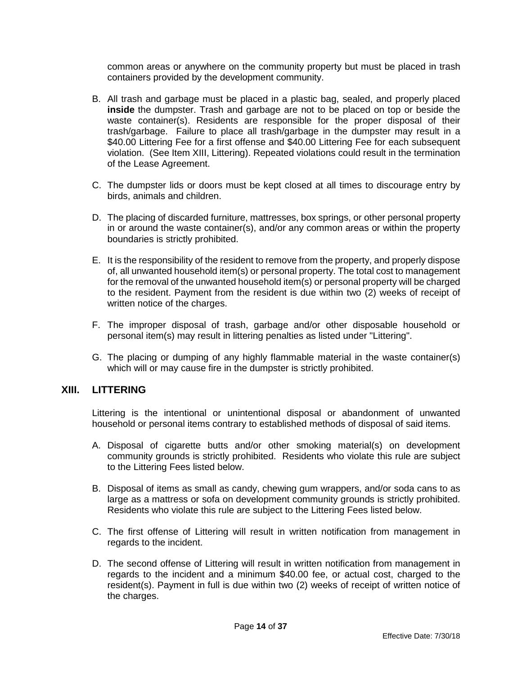common areas or anywhere on the community property but must be placed in trash containers provided by the development community.

- B. All trash and garbage must be placed in a plastic bag, sealed, and properly placed **inside** the dumpster. Trash and garbage are not to be placed on top or beside the waste container(s). Residents are responsible for the proper disposal of their trash/garbage. Failure to place all trash/garbage in the dumpster may result in a \$40.00 Littering Fee for a first offense and \$40.00 Littering Fee for each subsequent violation. (See Item XIII, Littering). Repeated violations could result in the termination of the Lease Agreement.
- C. The dumpster lids or doors must be kept closed at all times to discourage entry by birds, animals and children.
- D. The placing of discarded furniture, mattresses, box springs, or other personal property in or around the waste container(s), and/or any common areas or within the property boundaries is strictly prohibited.
- E. It is the responsibility of the resident to remove from the property, and properly dispose of, all unwanted household item(s) or personal property. The total cost to management for the removal of the unwanted household item(s) or personal property will be charged to the resident. Payment from the resident is due within two (2) weeks of receipt of written notice of the charges.
- F. The improper disposal of trash, garbage and/or other disposable household or personal item(s) may result in littering penalties as listed under "Littering".
- G. The placing or dumping of any highly flammable material in the waste container(s) which will or may cause fire in the dumpster is strictly prohibited.

#### <span id="page-13-0"></span>**XIII. LITTERING**

Littering is the intentional or unintentional disposal or abandonment of unwanted household or personal items contrary to established methods of disposal of said items.

- A. Disposal of cigarette butts and/or other smoking material(s) on development community grounds is strictly prohibited. Residents who violate this rule are subject to the Littering Fees listed below.
- B. Disposal of items as small as candy, chewing gum wrappers, and/or soda cans to as large as a mattress or sofa on development community grounds is strictly prohibited. Residents who violate this rule are subject to the Littering Fees listed below.
- C. The first offense of Littering will result in written notification from management in regards to the incident.
- D. The second offense of Littering will result in written notification from management in regards to the incident and a minimum \$40.00 fee, or actual cost, charged to the resident(s). Payment in full is due within two (2) weeks of receipt of written notice of the charges.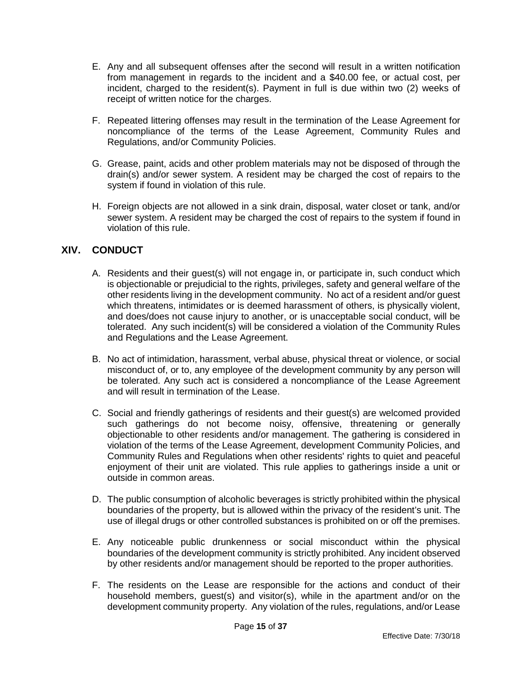- E. Any and all subsequent offenses after the second will result in a written notification from management in regards to the incident and a \$40.00 fee, or actual cost, per incident, charged to the resident(s). Payment in full is due within two (2) weeks of receipt of written notice for the charges.
- F. Repeated littering offenses may result in the termination of the Lease Agreement for noncompliance of the terms of the Lease Agreement, Community Rules and Regulations, and/or Community Policies.
- G. Grease, paint, acids and other problem materials may not be disposed of through the drain(s) and/or sewer system. A resident may be charged the cost of repairs to the system if found in violation of this rule.
- H. Foreign objects are not allowed in a sink drain, disposal, water closet or tank, and/or sewer system. A resident may be charged the cost of repairs to the system if found in violation of this rule.

# <span id="page-14-0"></span>**XIV. CONDUCT**

- A. Residents and their guest(s) will not engage in, or participate in, such conduct which is objectionable or prejudicial to the rights, privileges, safety and general welfare of the other residents living in the development community. No act of a resident and/or guest which threatens, intimidates or is deemed harassment of others, is physically violent, and does/does not cause injury to another, or is unacceptable social conduct, will be tolerated. Any such incident(s) will be considered a violation of the Community Rules and Regulations and the Lease Agreement.
- B. No act of intimidation, harassment, verbal abuse, physical threat or violence, or social misconduct of, or to, any employee of the development community by any person will be tolerated. Any such act is considered a noncompliance of the Lease Agreement and will result in termination of the Lease.
- C. Social and friendly gatherings of residents and their guest(s) are welcomed provided such gatherings do not become noisy, offensive, threatening or generally objectionable to other residents and/or management. The gathering is considered in violation of the terms of the Lease Agreement, development Community Policies, and Community Rules and Regulations when other residents' rights to quiet and peaceful enjoyment of their unit are violated. This rule applies to gatherings inside a unit or outside in common areas.
- D. The public consumption of alcoholic beverages is strictly prohibited within the physical boundaries of the property, but is allowed within the privacy of the resident's unit. The use of illegal drugs or other controlled substances is prohibited on or off the premises.
- E. Any noticeable public drunkenness or social misconduct within the physical boundaries of the development community is strictly prohibited. Any incident observed by other residents and/or management should be reported to the proper authorities.
- F. The residents on the Lease are responsible for the actions and conduct of their household members, guest(s) and visitor(s), while in the apartment and/or on the development community property. Any violation of the rules, regulations, and/or Lease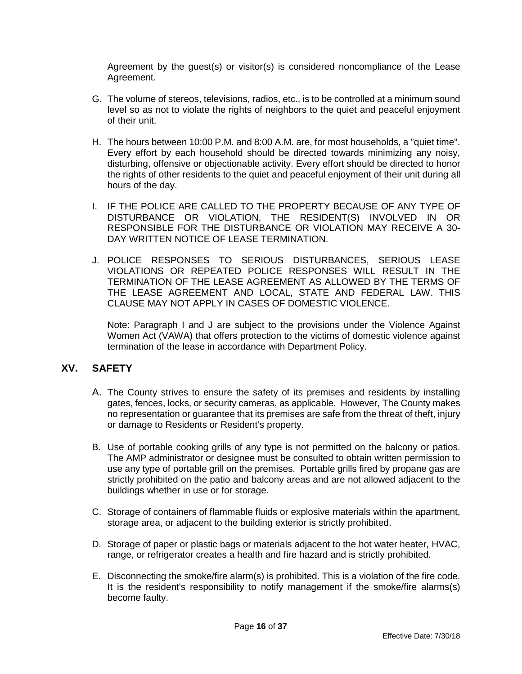Agreement by the guest(s) or visitor(s) is considered noncompliance of the Lease Agreement.

- G. The volume of stereos, televisions, radios, etc., is to be controlled at a minimum sound level so as not to violate the rights of neighbors to the quiet and peaceful enjoyment of their unit.
- H. The hours between 10:00 P.M. and 8:00 A.M. are, for most households, a "quiet time". Every effort by each household should be directed towards minimizing any noisy, disturbing, offensive or objectionable activity. Every effort should be directed to honor the rights of other residents to the quiet and peaceful enjoyment of their unit during all hours of the day.
- I. IF THE POLICE ARE CALLED TO THE PROPERTY BECAUSE OF ANY TYPE OF DISTURBANCE OR VIOLATION, THE RESIDENT(S) INVOLVED IN OR RESPONSIBLE FOR THE DISTURBANCE OR VIOLATION MAY RECEIVE A 30- DAY WRITTEN NOTICE OF LEASE TERMINATION.
- J. POLICE RESPONSES TO SERIOUS DISTURBANCES, SERIOUS LEASE VIOLATIONS OR REPEATED POLICE RESPONSES WILL RESULT IN THE TERMINATION OF THE LEASE AGREEMENT AS ALLOWED BY THE TERMS OF THE LEASE AGREEMENT AND LOCAL, STATE AND FEDERAL LAW. THIS CLAUSE MAY NOT APPLY IN CASES OF DOMESTIC VIOLENCE.

Note: Paragraph I and J are subject to the provisions under the Violence Against Women Act (VAWA) that offers protection to the victims of domestic violence against termination of the lease in accordance with Department Policy.

# <span id="page-15-0"></span>**XV. SAFETY**

- A. The County strives to ensure the safety of its premises and residents by installing gates, fences, locks, or security cameras, as applicable. However, The County makes no representation or guarantee that its premises are safe from the threat of theft, injury or damage to Residents or Resident's property.
- B. Use of portable cooking grills of any type is not permitted on the balcony or patios. The AMP administrator or designee must be consulted to obtain written permission to use any type of portable grill on the premises. Portable grills fired by propane gas are strictly prohibited on the patio and balcony areas and are not allowed adjacent to the buildings whether in use or for storage.
- C. Storage of containers of flammable fluids or explosive materials within the apartment, storage area, or adjacent to the building exterior is strictly prohibited.
- D. Storage of paper or plastic bags or materials adjacent to the hot water heater, HVAC, range, or refrigerator creates a health and fire hazard and is strictly prohibited.
- E. Disconnecting the smoke/fire alarm(s) is prohibited. This is a violation of the fire code. It is the resident's responsibility to notify management if the smoke/fire alarms(s) become faulty.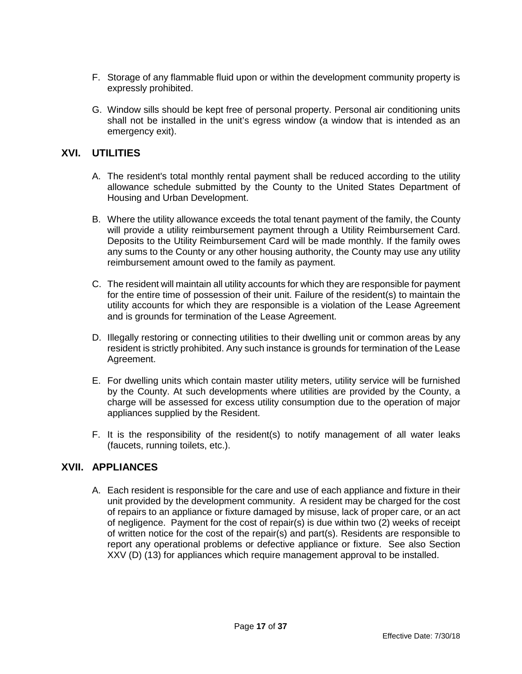- F. Storage of any flammable fluid upon or within the development community property is expressly prohibited.
- G. Window sills should be kept free of personal property. Personal air conditioning units shall not be installed in the unit's egress window (a window that is intended as an emergency exit).

# <span id="page-16-0"></span>**XVI. UTILITIES**

- A. The resident's total monthly rental payment shall be reduced according to the utility allowance schedule submitted by the County to the United States Department of Housing and Urban Development.
- B. Where the utility allowance exceeds the total tenant payment of the family, the County will provide a utility reimbursement payment through a Utility Reimbursement Card. Deposits to the Utility Reimbursement Card will be made monthly. If the family owes any sums to the County or any other housing authority, the County may use any utility reimbursement amount owed to the family as payment.
- C. The resident will maintain all utility accounts for which they are responsible for payment for the entire time of possession of their unit. Failure of the resident(s) to maintain the utility accounts for which they are responsible is a violation of the Lease Agreement and is grounds for termination of the Lease Agreement.
- D. Illegally restoring or connecting utilities to their dwelling unit or common areas by any resident is strictly prohibited. Any such instance is grounds for termination of the Lease Agreement.
- E. For dwelling units which contain master utility meters, utility service will be furnished by the County. At such developments where utilities are provided by the County, a charge will be assessed for excess utility consumption due to the operation of major appliances supplied by the Resident.
- F. It is the responsibility of the resident(s) to notify management of all water leaks (faucets, running toilets, etc.).

# <span id="page-16-1"></span>**XVII. APPLIANCES**

A. Each resident is responsible for the care and use of each appliance and fixture in their unit provided by the development community. A resident may be charged for the cost of repairs to an appliance or fixture damaged by misuse, lack of proper care, or an act of negligence. Payment for the cost of repair(s) is due within two (2) weeks of receipt of written notice for the cost of the repair(s) and part(s). Residents are responsible to report any operational problems or defective appliance or fixture. See also Section XXV (D) (13) for appliances which require management approval to be installed.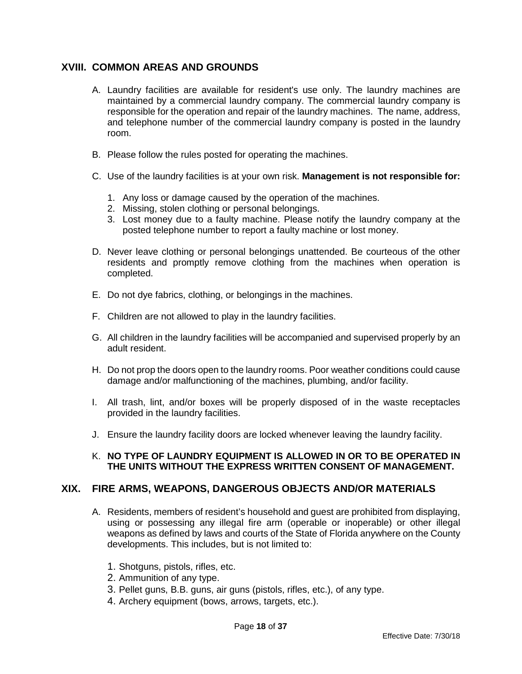# <span id="page-17-0"></span>**XVIII. COMMON AREAS AND GROUNDS**

- A. Laundry facilities are available for resident's use only. The laundry machines are maintained by a commercial laundry company. The commercial laundry company is responsible for the operation and repair of the laundry machines. The name, address, and telephone number of the commercial laundry company is posted in the laundry room.
- B. Please follow the rules posted for operating the machines.
- C. Use of the laundry facilities is at your own risk. **Management is not responsible for:**
	- 1. Any loss or damage caused by the operation of the machines.
	- 2. Missing, stolen clothing or personal belongings.
	- 3. Lost money due to a faulty machine. Please notify the laundry company at the posted telephone number to report a faulty machine or lost money.
- D. Never leave clothing or personal belongings unattended. Be courteous of the other residents and promptly remove clothing from the machines when operation is completed.
- E. Do not dye fabrics, clothing, or belongings in the machines.
- F. Children are not allowed to play in the laundry facilities.
- G. All children in the laundry facilities will be accompanied and supervised properly by an adult resident.
- H. Do not prop the doors open to the laundry rooms. Poor weather conditions could cause damage and/or malfunctioning of the machines, plumbing, and/or facility.
- I. All trash, lint, and/or boxes will be properly disposed of in the waste receptacles provided in the laundry facilities.
- J. Ensure the laundry facility doors are locked whenever leaving the laundry facility.

#### K. **NO TYPE OF LAUNDRY EQUIPMENT IS ALLOWED IN OR TO BE OPERATED IN THE UNITS WITHOUT THE EXPRESS WRITTEN CONSENT OF MANAGEMENT.**

#### <span id="page-17-1"></span>**XIX. FIRE ARMS, WEAPONS, DANGEROUS OBJECTS AND/OR MATERIALS**

- A. Residents, members of resident's household and guest are prohibited from displaying, using or possessing any illegal fire arm (operable or inoperable) or other illegal weapons as defined by laws and courts of the State of Florida anywhere on the County developments. This includes, but is not limited to:
	- 1. Shotguns, pistols, rifles, etc.
	- 2. Ammunition of any type.
	- 3. Pellet guns, B.B. guns, air guns (pistols, rifles, etc.), of any type.
	- 4. Archery equipment (bows, arrows, targets, etc.).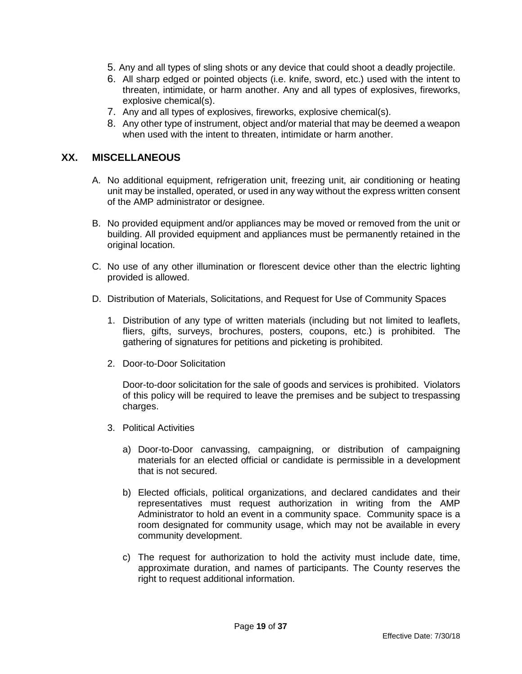- 5. Any and all types of sling shots or any device that could shoot a deadly projectile.
- 6. All sharp edged or pointed objects (i.e. knife, sword, etc.) used with the intent to threaten, intimidate, or harm another. Any and all types of explosives, fireworks, explosive chemical(s).
- 7. Any and all types of explosives, fireworks, explosive chemical(s).
- 8. Any other type of instrument, object and/or material that may be deemed a weapon when used with the intent to threaten, intimidate or harm another.

#### <span id="page-18-0"></span>**XX. MISCELLANEOUS**

- A. No additional equipment, refrigeration unit, freezing unit, air conditioning or heating unit may be installed, operated, or used in any way without the express written consent of the AMP administrator or designee.
- B. No provided equipment and/or appliances may be moved or removed from the unit or building. All provided equipment and appliances must be permanently retained in the original location.
- C. No use of any other illumination or florescent device other than the electric lighting provided is allowed.
- D. Distribution of Materials, Solicitations, and Request for Use of Community Spaces
	- 1. Distribution of any type of written materials (including but not limited to leaflets, fliers, gifts, surveys, brochures, posters, coupons, etc.) is prohibited. The gathering of signatures for petitions and picketing is prohibited.
	- 2. Door-to-Door Solicitation

Door-to-door solicitation for the sale of goods and services is prohibited. Violators of this policy will be required to leave the premises and be subject to trespassing charges.

- 3. Political Activities
	- a) Door-to-Door canvassing, campaigning, or distribution of campaigning materials for an elected official or candidate is permissible in a development that is not secured.
	- b) Elected officials, political organizations, and declared candidates and their representatives must request authorization in writing from the AMP Administrator to hold an event in a community space. Community space is a room designated for community usage, which may not be available in every community development.
	- c) The request for authorization to hold the activity must include date, time, approximate duration, and names of participants. The County reserves the right to request additional information.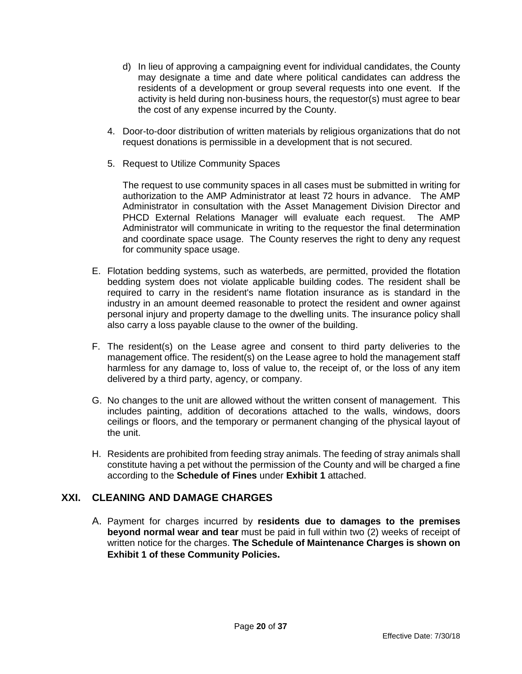- d) In lieu of approving a campaigning event for individual candidates, the County may designate a time and date where political candidates can address the residents of a development or group several requests into one event. If the activity is held during non-business hours, the requestor(s) must agree to bear the cost of any expense incurred by the County.
- 4. Door-to-door distribution of written materials by religious organizations that do not request donations is permissible in a development that is not secured.
- 5. Request to Utilize Community Spaces

The request to use community spaces in all cases must be submitted in writing for authorization to the AMP Administrator at least 72 hours in advance. The AMP Administrator in consultation with the Asset Management Division Director and PHCD External Relations Manager will evaluate each request. The AMP Administrator will communicate in writing to the requestor the final determination and coordinate space usage. The County reserves the right to deny any request for community space usage.

- E. Flotation bedding systems, such as waterbeds, are permitted, provided the flotation bedding system does not violate applicable building codes. The resident shall be required to carry in the resident's name flotation insurance as is standard in the industry in an amount deemed reasonable to protect the resident and owner against personal injury and property damage to the dwelling units. The insurance policy shall also carry a loss payable clause to the owner of the building.
- F. The resident(s) on the Lease agree and consent to third party deliveries to the management office. The resident(s) on the Lease agree to hold the management staff harmless for any damage to, loss of value to, the receipt of, or the loss of any item delivered by a third party, agency, or company.
- G. No changes to the unit are allowed without the written consent of management. This includes painting, addition of decorations attached to the walls, windows, doors ceilings or floors, and the temporary or permanent changing of the physical layout of the unit.
- H. Residents are prohibited from feeding stray animals. The feeding of stray animals shall constitute having a pet without the permission of the County and will be charged a fine according to the **Schedule of Fines** under **Exhibit 1** attached.

# <span id="page-19-0"></span>**XXI. CLEANING AND DAMAGE CHARGES**

A. Payment for charges incurred by **residents due to damages to the premises beyond normal wear and tear** must be paid in full within two (2) weeks of receipt of written notice for the charges. **The Schedule of Maintenance Charges is shown on Exhibit 1 of these Community Policies.**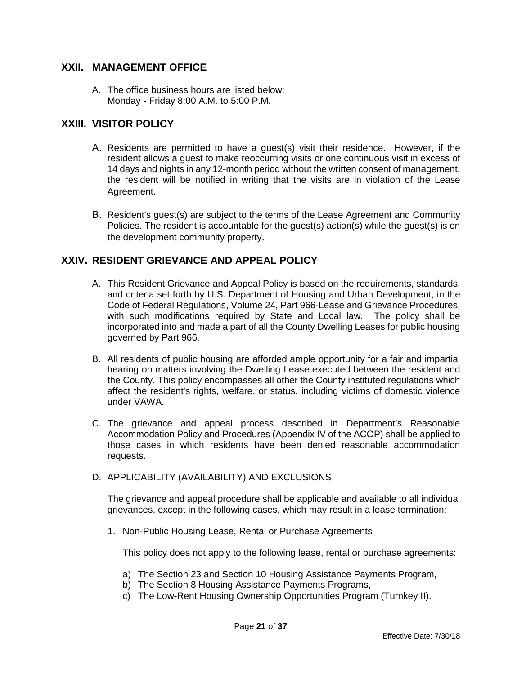# <span id="page-20-0"></span>**XXII. MANAGEMENT OFFICE**

A. The office business hours are listed below: Monday - Friday 8:00 A.M. to 5:00 P.M.

# <span id="page-20-1"></span>**XXIII. VISITOR POLICY**

- A. Residents are permitted to have a guest(s) visit their residence. However, if the resident allows a guest to make reoccurring visits or one continuous visit in excess of 14 days and nights in any 12-month period without the written consent of management, the resident will be notified in writing that the visits are in violation of the Lease Agreement.
- B. Resident's guest(s) are subject to the terms of the Lease Agreement and Community Policies. The resident is accountable for the guest(s) action(s) while the guest(s) is on the development community property.

# <span id="page-20-2"></span>**XXIV. RESIDENT GRIEVANCE AND APPEAL POLICY**

- A. This Resident Grievance and Appeal Policy is based on the requirements, standards, and criteria set forth by U.S. Department of Housing and Urban Development, in the Code of Federal Regulations, Volume 24, Part 966-Lease and Grievance Procedures, with such modifications required by State and Local law. The policy shall be incorporated into and made a part of all the County Dwelling Leases for public housing governed by Part 966.
- B. All residents of public housing are afforded ample opportunity for a fair and impartial hearing on matters involving the Dwelling Lease executed between the resident and the County. This policy encompasses all other the County instituted regulations which affect the resident's rights, welfare, or status, including victims of domestic violence under VAWA.
- C. The grievance and appeal process described in Department's Reasonable Accommodation Policy and Procedures (Appendix IV of the ACOP) shall be applied to those cases in which residents have been denied reasonable accommodation requests.
- D. APPLICABILITY (AVAILABILITY) AND EXCLUSIONS

 The grievance and appeal procedure shall be applicable and available to all individual grievances, except in the following cases, which may result in a lease termination:

1. Non-Public Housing Lease, Rental or Purchase Agreements

This policy does not apply to the following lease, rental or purchase agreements:

- a) The Section 23 and Section 10 Housing Assistance Payments Program,
- b) The Section 8 Housing Assistance Payments Programs,
- c) The Low-Rent Housing Ownership Opportunities Program (Turnkey II).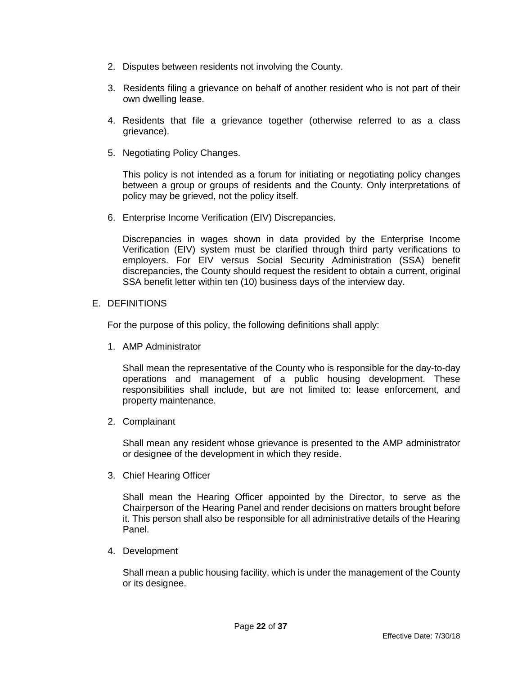- 2. Disputes between residents not involving the County.
- 3. Residents filing a grievance on behalf of another resident who is not part of their own dwelling lease.
- 4. Residents that file a grievance together (otherwise referred to as a class grievance).
- 5. Negotiating Policy Changes.

This policy is not intended as a forum for initiating or negotiating policy changes between a group or groups of residents and the County. Only interpretations of policy may be grieved, not the policy itself.

6. Enterprise Income Verification (EIV) Discrepancies.

Discrepancies in wages shown in data provided by the Enterprise Income Verification (EIV) system must be clarified through third party verifications to employers. For EIV versus Social Security Administration (SSA) benefit discrepancies, the County should request the resident to obtain a current, original SSA benefit letter within ten (10) business days of the interview day.

#### E. DEFINITIONS

For the purpose of this policy, the following definitions shall apply:

1. AMP Administrator

Shall mean the representative of the County who is responsible for the day-to-day operations and management of a public housing development. These responsibilities shall include, but are not limited to: lease enforcement, and property maintenance.

2. Complainant

Shall mean any resident whose grievance is presented to the AMP administrator or designee of the development in which they reside.

3. Chief Hearing Officer

Shall mean the Hearing Officer appointed by the Director, to serve as the Chairperson of the Hearing Panel and render decisions on matters brought before it. This person shall also be responsible for all administrative details of the Hearing Panel.

4. Development

Shall mean a public housing facility, which is under the management of the County or its designee.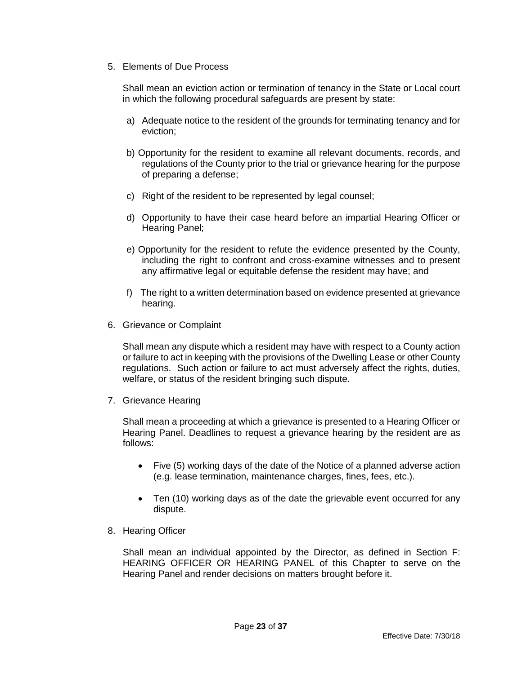5. Elements of Due Process

Shall mean an eviction action or termination of tenancy in the State or Local court in which the following procedural safeguards are present by state:

- a) Adequate notice to the resident of the grounds for terminating tenancy and for eviction;
- b) Opportunity for the resident to examine all relevant documents, records, and regulations of the County prior to the trial or grievance hearing for the purpose of preparing a defense;
- c) Right of the resident to be represented by legal counsel;
- d) Opportunity to have their case heard before an impartial Hearing Officer or Hearing Panel;
- e) Opportunity for the resident to refute the evidence presented by the County, including the right to confront and cross-examine witnesses and to present any affirmative legal or equitable defense the resident may have; and
- f) The right to a written determination based on evidence presented at grievance hearing.
- 6. Grievance or Complaint

Shall mean any dispute which a resident may have with respect to a County action or failure to act in keeping with the provisions of the Dwelling Lease or other County regulations. Such action or failure to act must adversely affect the rights, duties, welfare, or status of the resident bringing such dispute.

7. Grievance Hearing

 Shall mean a proceeding at which a grievance is presented to a Hearing Officer or Hearing Panel. Deadlines to request a grievance hearing by the resident are as follows:

- Five (5) working days of the date of the Notice of a planned adverse action (e.g. lease termination, maintenance charges, fines, fees, etc.).
- Ten (10) working days as of the date the grievable event occurred for any dispute.
- 8. Hearing Officer

 Shall mean an individual appointed by the Director, as defined in Section F: HEARING OFFICER OR HEARING PANEL of this Chapter to serve on the Hearing Panel and render decisions on matters brought before it.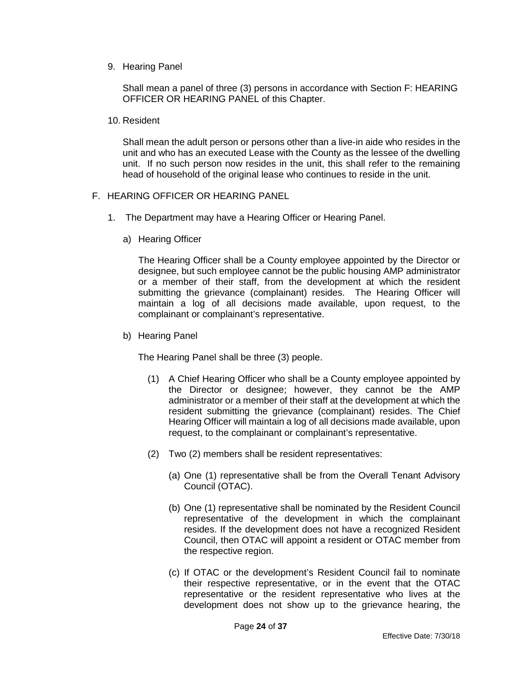#### 9. Hearing Panel

Shall mean a panel of three (3) persons in accordance with Section F: HEARING OFFICER OR HEARING PANEL of this Chapter.

#### 10. Resident

Shall mean the adult person or persons other than a live-in aide who resides in the unit and who has an executed Lease with the County as the lessee of the dwelling unit. If no such person now resides in the unit, this shall refer to the remaining head of household of the original lease who continues to reside in the unit.

#### F. HEARING OFFICER OR HEARING PANEL

- 1. The Department may have a Hearing Officer or Hearing Panel.
	- a) Hearing Officer

The Hearing Officer shall be a County employee appointed by the Director or designee, but such employee cannot be the public housing AMP administrator or a member of their staff, from the development at which the resident submitting the grievance (complainant) resides. The Hearing Officer will maintain a log of all decisions made available, upon request, to the complainant or complainant's representative.

b) Hearing Panel

The Hearing Panel shall be three (3) people.

- (1) A Chief Hearing Officer who shall be a County employee appointed by the Director or designee; however, they cannot be the AMP administrator or a member of their staff at the development at which the resident submitting the grievance (complainant) resides. The Chief Hearing Officer will maintain a log of all decisions made available, upon request, to the complainant or complainant's representative.
- (2) Two (2) members shall be resident representatives:
	- (a) One (1) representative shall be from the Overall Tenant Advisory Council (OTAC).
	- (b) One (1) representative shall be nominated by the Resident Council representative of the development in which the complainant resides. If the development does not have a recognized Resident Council, then OTAC will appoint a resident or OTAC member from the respective region.
	- (c) If OTAC or the development's Resident Council fail to nominate their respective representative, or in the event that the OTAC representative or the resident representative who lives at the development does not show up to the grievance hearing, the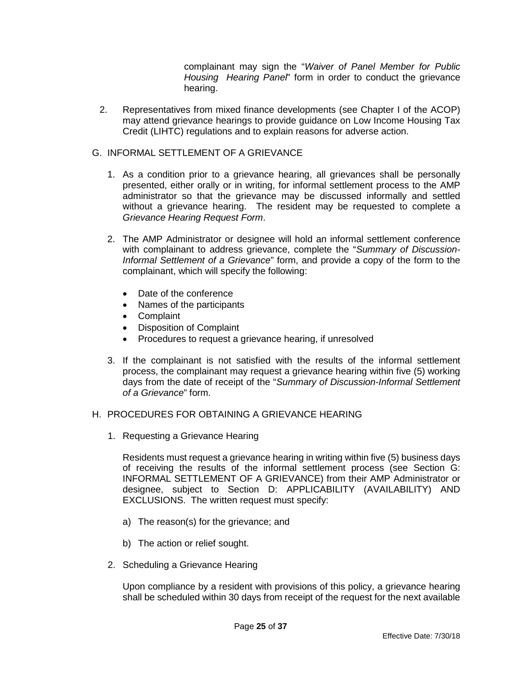complainant may sign the "*Waiver of Panel Member for Public Housing Hearing Panel*" form in order to conduct the grievance hearing.

2. Representatives from mixed finance developments (see Chapter I of the ACOP) may attend grievance hearings to provide guidance on Low Income Housing Tax Credit (LIHTC) regulations and to explain reasons for adverse action.

# G. INFORMAL SETTLEMENT OF A GRIEVANCE

- 1. As a condition prior to a grievance hearing, all grievances shall be personally presented, either orally or in writing, for informal settlement process to the AMP administrator so that the grievance may be discussed informally and settled without a grievance hearing. The resident may be requested to complete a *Grievance Hearing Request Form*.
- 2. The AMP Administrator or designee will hold an informal settlement conference with complainant to address grievance, complete the "*Summary of Discussion-Informal Settlement of a Grievance*" form, and provide a copy of the form to the complainant, which will specify the following:
	- Date of the conference
	- Names of the participants
	- Complaint
	- Disposition of Complaint
	- Procedures to request a grievance hearing, if unresolved
- 3. If the complainant is not satisfied with the results of the informal settlement process, the complainant may request a grievance hearing within five (5) working days from the date of receipt of the "*Summary of Discussion-Informal Settlement of a Grievance*" form.

#### H. PROCEDURES FOR OBTAINING A GRIEVANCE HEARING

1. Requesting a Grievance Hearing

Residents must request a grievance hearing in writing within five (5) business days of receiving the results of the informal settlement process (see Section G: INFORMAL SETTLEMENT OF A GRIEVANCE) from their AMP Administrator or designee, subject to Section D: APPLICABILITY (AVAILABILITY) AND EXCLUSIONS. The written request must specify:

- a) The reason(s) for the grievance; and
- b) The action or relief sought.
- 2. Scheduling a Grievance Hearing

Upon compliance by a resident with provisions of this policy, a grievance hearing shall be scheduled within 30 days from receipt of the request for the next available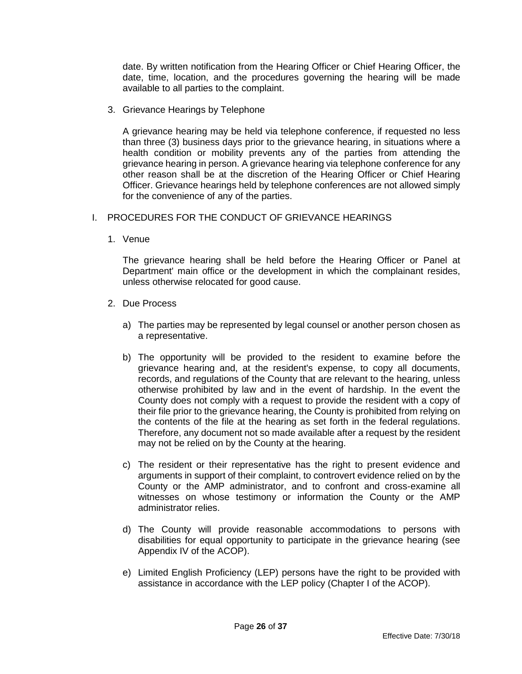date. By written notification from the Hearing Officer or Chief Hearing Officer, the date, time, location, and the procedures governing the hearing will be made available to all parties to the complaint.

3. Grievance Hearings by Telephone

A grievance hearing may be held via telephone conference, if requested no less than three (3) business days prior to the grievance hearing, in situations where a health condition or mobility prevents any of the parties from attending the grievance hearing in person. A grievance hearing via telephone conference for any other reason shall be at the discretion of the Hearing Officer or Chief Hearing Officer. Grievance hearings held by telephone conferences are not allowed simply for the convenience of any of the parties.

- I. PROCEDURES FOR THE CONDUCT OF GRIEVANCE HEARINGS
	- 1. Venue

The grievance hearing shall be held before the Hearing Officer or Panel at Department' main office or the development in which the complainant resides, unless otherwise relocated for good cause.

- 2. Due Process
	- a) The parties may be represented by legal counsel or another person chosen as a representative.
	- b) The opportunity will be provided to the resident to examine before the grievance hearing and, at the resident's expense, to copy all documents, records, and regulations of the County that are relevant to the hearing, unless otherwise prohibited by law and in the event of hardship. In the event the County does not comply with a request to provide the resident with a copy of their file prior to the grievance hearing, the County is prohibited from relying on the contents of the file at the hearing as set forth in the federal regulations. Therefore, any document not so made available after a request by the resident may not be relied on by the County at the hearing.
	- c) The resident or their representative has the right to present evidence and arguments in support of their complaint, to controvert evidence relied on by the County or the AMP administrator, and to confront and cross-examine all witnesses on whose testimony or information the County or the AMP administrator relies.
	- d) The County will provide reasonable accommodations to persons with disabilities for equal opportunity to participate in the grievance hearing (see Appendix IV of the ACOP).
	- e) Limited English Proficiency (LEP) persons have the right to be provided with assistance in accordance with the LEP policy (Chapter I of the ACOP).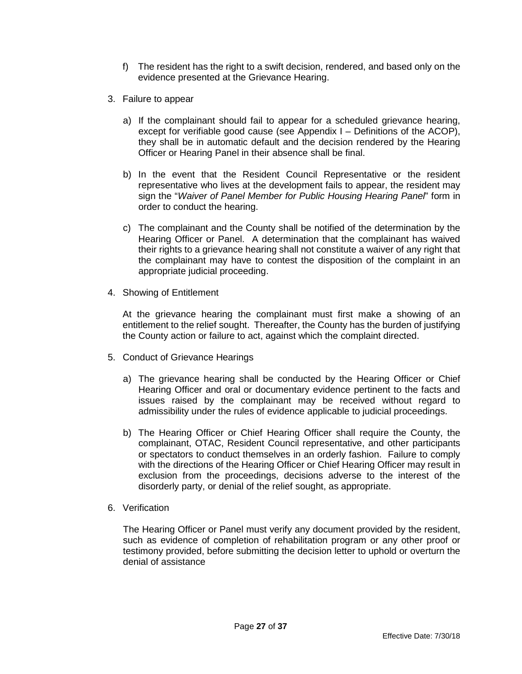- f) The resident has the right to a swift decision, rendered, and based only on the evidence presented at the Grievance Hearing.
- 3. Failure to appear
	- a) If the complainant should fail to appear for a scheduled grievance hearing, except for verifiable good cause (see Appendix I – Definitions of the ACOP), they shall be in automatic default and the decision rendered by the Hearing Officer or Hearing Panel in their absence shall be final.
	- b) In the event that the Resident Council Representative or the resident representative who lives at the development fails to appear, the resident may sign the "*Waiver of Panel Member for Public Housing Hearing Panel*" form in order to conduct the hearing.
	- c) The complainant and the County shall be notified of the determination by the Hearing Officer or Panel. A determination that the complainant has waived their rights to a grievance hearing shall not constitute a waiver of any right that the complainant may have to contest the disposition of the complaint in an appropriate judicial proceeding.
- 4. Showing of Entitlement

At the grievance hearing the complainant must first make a showing of an entitlement to the relief sought. Thereafter, the County has the burden of justifying the County action or failure to act, against which the complaint directed.

- 5. Conduct of Grievance Hearings
	- a) The grievance hearing shall be conducted by the Hearing Officer or Chief Hearing Officer and oral or documentary evidence pertinent to the facts and issues raised by the complainant may be received without regard to admissibility under the rules of evidence applicable to judicial proceedings.
	- b) The Hearing Officer or Chief Hearing Officer shall require the County, the complainant, OTAC, Resident Council representative, and other participants or spectators to conduct themselves in an orderly fashion. Failure to comply with the directions of the Hearing Officer or Chief Hearing Officer may result in exclusion from the proceedings, decisions adverse to the interest of the disorderly party, or denial of the relief sought, as appropriate.
- 6. Verification

The Hearing Officer or Panel must verify any document provided by the resident, such as evidence of completion of rehabilitation program or any other proof or testimony provided, before submitting the decision letter to uphold or overturn the denial of assistance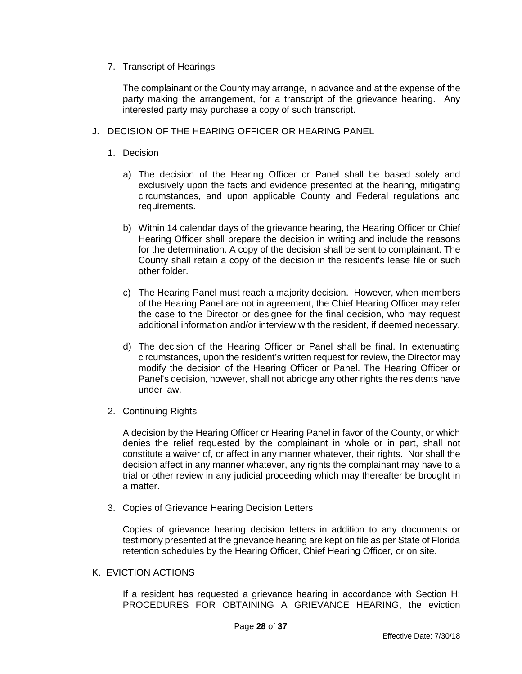#### 7. Transcript of Hearings

The complainant or the County may arrange, in advance and at the expense of the party making the arrangement, for a transcript of the grievance hearing. Any interested party may purchase a copy of such transcript.

#### J. DECISION OF THE HEARING OFFICER OR HEARING PANEL

#### 1. Decision

- a) The decision of the Hearing Officer or Panel shall be based solely and exclusively upon the facts and evidence presented at the hearing, mitigating circumstances, and upon applicable County and Federal regulations and requirements.
- b) Within 14 calendar days of the grievance hearing, the Hearing Officer or Chief Hearing Officer shall prepare the decision in writing and include the reasons for the determination. A copy of the decision shall be sent to complainant. The County shall retain a copy of the decision in the resident's lease file or such other folder.
- c) The Hearing Panel must reach a majority decision. However, when members of the Hearing Panel are not in agreement, the Chief Hearing Officer may refer the case to the Director or designee for the final decision, who may request additional information and/or interview with the resident, if deemed necessary.
- d) The decision of the Hearing Officer or Panel shall be final. In extenuating circumstances, upon the resident's written request for review, the Director may modify the decision of the Hearing Officer or Panel. The Hearing Officer or Panel's decision, however, shall not abridge any other rights the residents have under law.
- 2. Continuing Rights

A decision by the Hearing Officer or Hearing Panel in favor of the County, or which denies the relief requested by the complainant in whole or in part, shall not constitute a waiver of, or affect in any manner whatever, their rights. Nor shall the decision affect in any manner whatever, any rights the complainant may have to a trial or other review in any judicial proceeding which may thereafter be brought in a matter.

3. Copies of Grievance Hearing Decision Letters

Copies of grievance hearing decision letters in addition to any documents or testimony presented at the grievance hearing are kept on file as per State of Florida retention schedules by the Hearing Officer, Chief Hearing Officer, or on site.

### K. EVICTION ACTIONS

 If a resident has requested a grievance hearing in accordance with Section H: PROCEDURES FOR OBTAINING A GRIEVANCE HEARING, the eviction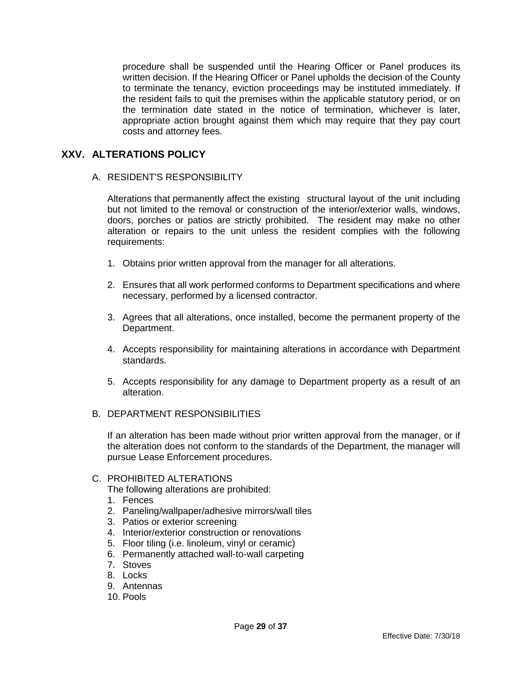procedure shall be suspended until the Hearing Officer or Panel produces its written decision. If the Hearing Officer or Panel upholds the decision of the County to terminate the tenancy, eviction proceedings may be instituted immediately. If the resident fails to quit the premises within the applicable statutory period, or on the termination date stated in the notice of termination, whichever is later, appropriate action brought against them which may require that they pay court costs and attorney fees.

# <span id="page-28-0"></span>**XXV. ALTERATIONS POLICY**

#### A. RESIDENT'S RESPONSIBILITY

Alterations that permanently affect the existing structural layout of the unit including but not limited to the removal or construction of the interior/exterior walls, windows, doors, porches or patios are strictly prohibited. The resident may make no other alteration or repairs to the unit unless the resident complies with the following requirements:

- 1. Obtains prior written approval from the manager for all alterations.
- 2. Ensures that all work performed conforms to Department specifications and where necessary, performed by a licensed contractor.
- 3. Agrees that all alterations, once installed, become the permanent property of the Department.
- 4. Accepts responsibility for maintaining alterations in accordance with Department standards.
- 5. Accepts responsibility for any damage to Department property as a result of an alteration.
- B. DEPARTMENT RESPONSIBILITIES

If an alteration has been made without prior written approval from the manager, or if the alteration does not conform to the standards of the Department, the manager will pursue Lease Enforcement procedures.

#### C. PROHIBITED ALTERATIONS

The following alterations are prohibited:

- 1. Fences
- 2. Paneling/wallpaper/adhesive mirrors/wall tiles
- 3. Patios or exterior screening
- 4. Interior/exterior construction or renovations
- 5. Floor tiling (i.e. linoleum, vinyl or ceramic)
- 6. Permanently attached wall-to-wall carpeting
- 7. Stoves
- 8. Locks
- 9. Antennas
- 10. Pools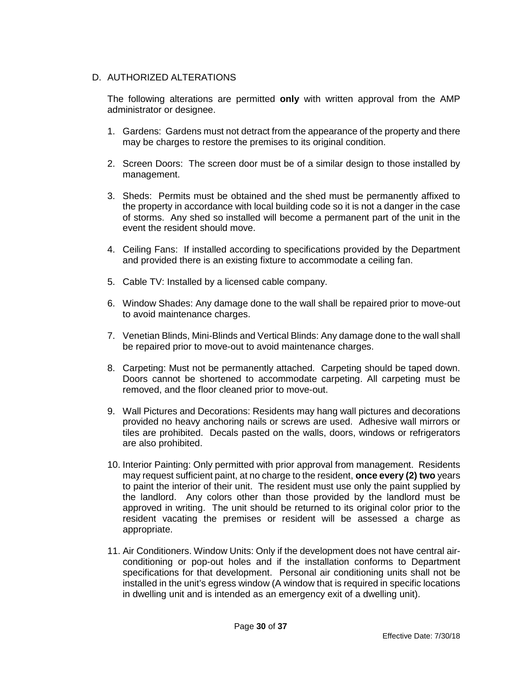## D. AUTHORIZED ALTERATIONS

The following alterations are permitted **only** with written approval from the AMP administrator or designee.

- 1. Gardens: Gardens must not detract from the appearance of the property and there may be charges to restore the premises to its original condition.
- 2. Screen Doors: The screen door must be of a similar design to those installed by management.
- 3. Sheds: Permits must be obtained and the shed must be permanently affixed to the property in accordance with local building code so it is not a danger in the case of storms. Any shed so installed will become a permanent part of the unit in the event the resident should move.
- 4. Ceiling Fans: If installed according to specifications provided by the Department and provided there is an existing fixture to accommodate a ceiling fan.
- 5. Cable TV: Installed by a licensed cable company.
- 6. Window Shades: Any damage done to the wall shall be repaired prior to move-out to avoid maintenance charges.
- 7. Venetian Blinds, Mini-Blinds and Vertical Blinds: Any damage done to the wall shall be repaired prior to move-out to avoid maintenance charges.
- 8. Carpeting: Must not be permanently attached. Carpeting should be taped down. Doors cannot be shortened to accommodate carpeting. All carpeting must be removed, and the floor cleaned prior to move-out.
- 9. Wall Pictures and Decorations: Residents may hang wall pictures and decorations provided no heavy anchoring nails or screws are used. Adhesive wall mirrors or tiles are prohibited. Decals pasted on the walls, doors, windows or refrigerators are also prohibited.
- 10. Interior Painting: Only permitted with prior approval from management. Residents may request sufficient paint, at no charge to the resident, **once every (2) two** years to paint the interior of their unit. The resident must use only the paint supplied by the landlord. Any colors other than those provided by the landlord must be approved in writing. The unit should be returned to its original color prior to the resident vacating the premises or resident will be assessed a charge as appropriate.
- 11. Air Conditioners. Window Units: Only if the development does not have central airconditioning or pop-out holes and if the installation conforms to Department specifications for that development. Personal air conditioning units shall not be installed in the unit's egress window (A window that is required in specific locations in dwelling unit and is intended as an emergency exit of a dwelling unit).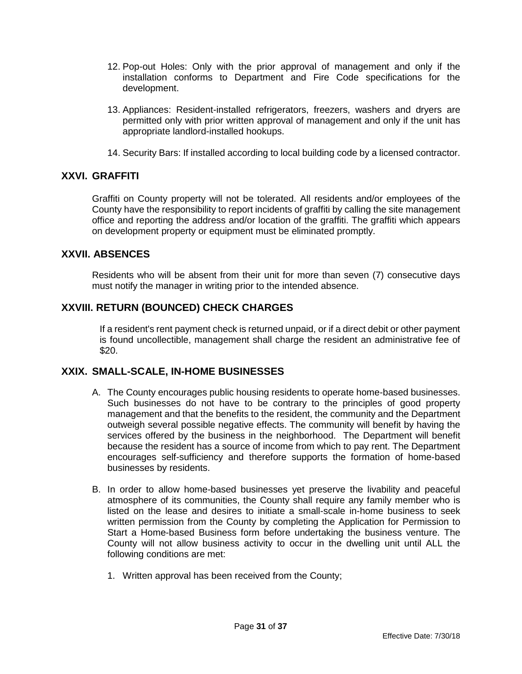- 12. Pop-out Holes: Only with the prior approval of management and only if the installation conforms to Department and Fire Code specifications for the development.
- 13. Appliances: Resident-installed refrigerators, freezers, washers and dryers are permitted only with prior written approval of management and only if the unit has appropriate landlord-installed hookups.
- 14. Security Bars: If installed according to local building code by a licensed contractor.

## <span id="page-30-0"></span>**XXVI. GRAFFITI**

Graffiti on County property will not be tolerated. All residents and/or employees of the County have the responsibility to report incidents of graffiti by calling the site management office and reporting the address and/or location of the graffiti. The graffiti which appears on development property or equipment must be eliminated promptly.

# <span id="page-30-1"></span>**XXVII. ABSENCES**

Residents who will be absent from their unit for more than seven (7) consecutive days must notify the manager in writing prior to the intended absence.

# <span id="page-30-2"></span>**XXVIII. RETURN (BOUNCED) CHECK CHARGES**

If a resident's rent payment check is returned unpaid, or if a direct debit or other payment is found uncollectible, management shall charge the resident an administrative fee of \$20.

#### <span id="page-30-3"></span>**XXIX. SMALL-SCALE, IN-HOME BUSINESSES**

- A. The County encourages public housing residents to operate home-based businesses. Such businesses do not have to be contrary to the principles of good property management and that the benefits to the resident, the community and the Department outweigh several possible negative effects. The community will benefit by having the services offered by the business in the neighborhood. The Department will benefit because the resident has a source of income from which to pay rent. The Department encourages self-sufficiency and therefore supports the formation of home-based businesses by residents.
- B. In order to allow home-based businesses yet preserve the livability and peaceful atmosphere of its communities, the County shall require any family member who is listed on the lease and desires to initiate a small-scale in-home business to seek written permission from the County by completing the Application for Permission to Start a Home-based Business form before undertaking the business venture. The County will not allow business activity to occur in the dwelling unit until ALL the following conditions are met:
	- 1. Written approval has been received from the County;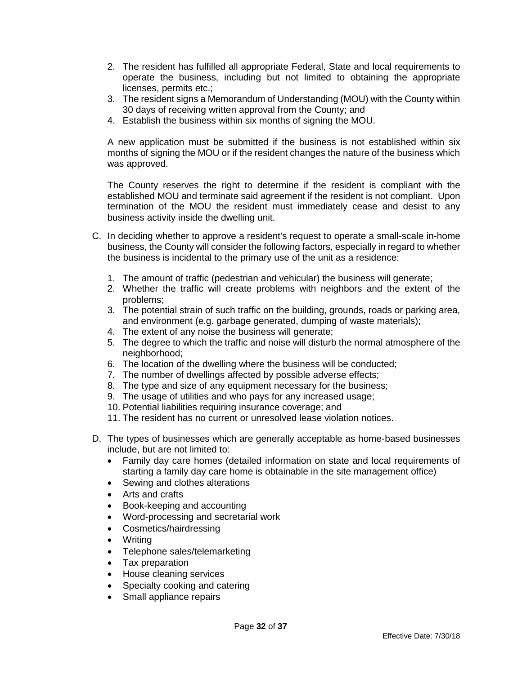- 2. The resident has fulfilled all appropriate Federal, State and local requirements to operate the business, including but not limited to obtaining the appropriate licenses, permits etc.;
- 3. The resident signs a Memorandum of Understanding (MOU) with the County within 30 days of receiving written approval from the County; and
- 4. Establish the business within six months of signing the MOU.

A new application must be submitted if the business is not established within six months of signing the MOU or if the resident changes the nature of the business which was approved.

The County reserves the right to determine if the resident is compliant with the established MOU and terminate said agreement if the resident is not compliant. Upon termination of the MOU the resident must immediately cease and desist to any business activity inside the dwelling unit.

- C. In deciding whether to approve a resident's request to operate a small-scale in-home business, the County will consider the following factors, especially in regard to whether the business is incidental to the primary use of the unit as a residence:
	- 1. The amount of traffic (pedestrian and vehicular) the business will generate;
	- 2. Whether the traffic will create problems with neighbors and the extent of the problems;
	- 3. The potential strain of such traffic on the building, grounds, roads or parking area, and environment (e.g. garbage generated, dumping of waste materials);
	- 4. The extent of any noise the business will generate;
	- 5. The degree to which the traffic and noise will disturb the normal atmosphere of the neighborhood;
	- 6. The location of the dwelling where the business will be conducted;
	- 7. The number of dwellings affected by possible adverse effects;
	- 8. The type and size of any equipment necessary for the business;
	- 9. The usage of utilities and who pays for any increased usage;
	- 10. Potential liabilities requiring insurance coverage; and
	- 11. The resident has no current or unresolved lease violation notices.
- D. The types of businesses which are generally acceptable as home-based businesses include, but are not limited to:
	- Family day care homes (detailed information on state and local requirements of starting a family day care home is obtainable in the site management office)
	- Sewing and clothes alterations
	- Arts and crafts
	- Book-keeping and accounting
	- Word-processing and secretarial work
	- Cosmetics/hairdressing
	- Writing
	- Telephone sales/telemarketing
	- Tax preparation
	- House cleaning services
	- Specialty cooking and catering
	- Small appliance repairs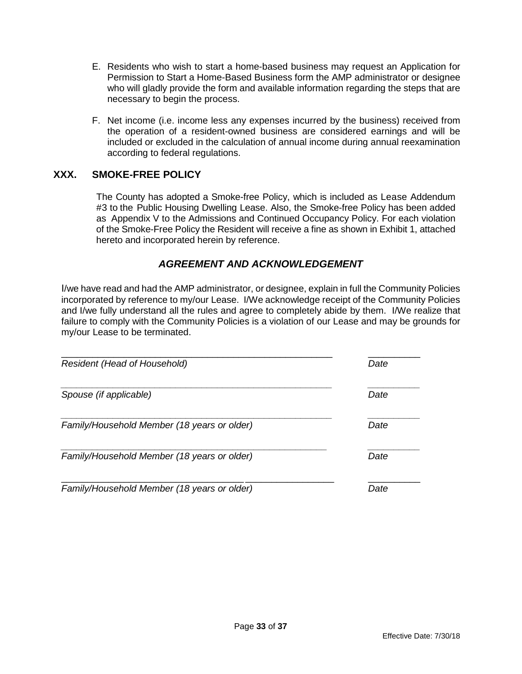- E. Residents who wish to start a home-based business may request an Application for Permission to Start a Home-Based Business form the AMP administrator or designee who will gladly provide the form and available information regarding the steps that are necessary to begin the process.
- F. Net income (i.e. income less any expenses incurred by the business) received from the operation of a resident-owned business are considered earnings and will be included or excluded in the calculation of annual income during annual reexamination according to federal regulations.

## <span id="page-32-0"></span>**XXX. SMOKE-FREE POLICY**

The County has adopted a Smoke-free Policy, which is included as Lease Addendum #3 to the Public Housing Dwelling Lease. Also, the Smoke-free Policy has been added as Appendix V to the Admissions and Continued Occupancy Policy. For each violation of the Smoke-Free Policy the Resident will receive a fine as shown in Exhibit 1, attached hereto and incorporated herein by reference.

# *AGREEMENT AND ACKNOWLEDGEMENT*

I/we have read and had the AMP administrator, or designee, explain in full the Community Policies incorporated by reference to my/our Lease. I/We acknowledge receipt of the Community Policies and I/we fully understand all the rules and agree to completely abide by them. I/We realize that failure to comply with the Community Policies is a violation of our Lease and may be grounds for my/our Lease to be terminated.

| <b>Resident (Head of Household)</b>         | Date |
|---------------------------------------------|------|
| Spouse (if applicable)                      | Date |
| Family/Household Member (18 years or older) | Date |
| Family/Household Member (18 years or older) | Date |
| Family/Household Member (18 years or older) | Date |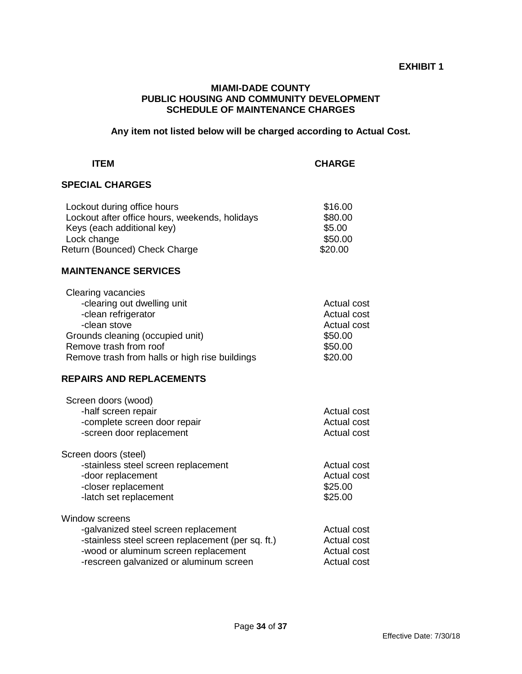#### **EXHIBIT 1**

#### **MIAMI-DADE COUNTY PUBLIC HOUSING AND COMMUNITY DEVELOPMENT SCHEDULE OF MAINTENANCE CHARGES**

**Any item not listed below will be charged according to Actual Cost.** 

#### **ITEM CHARGE**

#### **SPECIAL CHARGES**

| Lockout during office hours                    | \$16.00 |
|------------------------------------------------|---------|
| Lockout after office hours, weekends, holidays | \$80.00 |
| Keys (each additional key)                     | \$5.00  |
| Lock change                                    | \$50.00 |
| Return (Bounced) Check Charge                  | \$20.00 |
|                                                |         |

#### **MAINTENANCE SERVICES**

| <b>Actual cost</b> |
|--------------------|
| <b>Actual cost</b> |
| <b>Actual cost</b> |
| \$50.00            |
| \$50.00            |
| \$20.00            |
|                    |

#### **REPAIRS AND REPLACEMENTS**

| Screen doors (wood)                               |             |
|---------------------------------------------------|-------------|
| -half screen repair                               | Actual cost |
| -complete screen door repair                      | Actual cost |
| -screen door replacement                          | Actual cost |
| Screen doors (steel)                              |             |
| -stainless steel screen replacement               | Actual cost |
| -door replacement                                 | Actual cost |
| -closer replacement                               | \$25.00     |
| -latch set replacement                            | \$25.00     |
| Window screens                                    |             |
| -galvanized steel screen replacement              | Actual cost |
| -stainless steel screen replacement (per sq. ft.) | Actual cost |
| -wood or aluminum screen replacement              | Actual cost |
| -rescreen galvanized or aluminum screen           | Actual cost |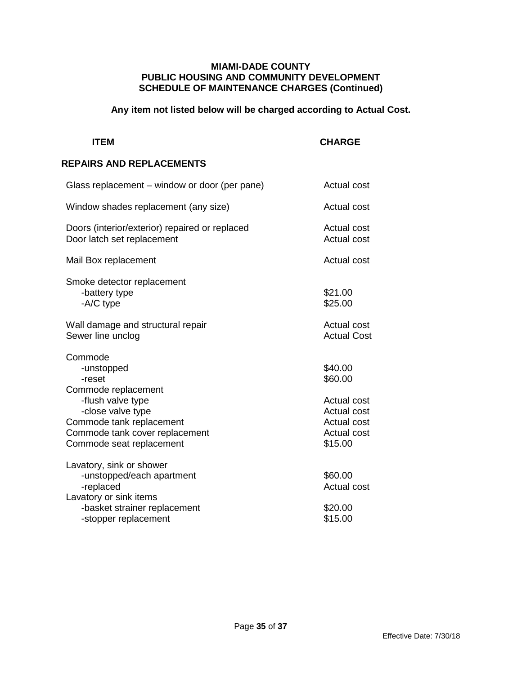#### **MIAMI-DADE COUNTY PUBLIC HOUSING AND COMMUNITY DEVELOPMENT SCHEDULE OF MAINTENANCE CHARGES (Continued)**

# **Any item not listed below will be charged according to Actual Cost.**

# **ITEM** CHARGE

#### **REPAIRS AND REPLACEMENTS**

| Glass replacement – window or door (per pane)                                                                                    | <b>Actual cost</b>                                                                       |
|----------------------------------------------------------------------------------------------------------------------------------|------------------------------------------------------------------------------------------|
| Window shades replacement (any size)                                                                                             | <b>Actual cost</b>                                                                       |
| Doors (interior/exterior) repaired or replaced<br>Door latch set replacement                                                     | Actual cost<br><b>Actual cost</b>                                                        |
| Mail Box replacement                                                                                                             | <b>Actual cost</b>                                                                       |
| Smoke detector replacement<br>-battery type<br>-A/C type                                                                         | \$21.00<br>\$25.00                                                                       |
| Wall damage and structural repair<br>Sewer line unclog                                                                           | <b>Actual cost</b><br><b>Actual Cost</b>                                                 |
| Commode<br>-unstopped<br>-reset<br>Commode replacement                                                                           | \$40.00<br>\$60.00                                                                       |
| -flush valve type<br>-close valve type<br>Commode tank replacement<br>Commode tank cover replacement<br>Commode seat replacement | Actual cost<br><b>Actual cost</b><br><b>Actual cost</b><br><b>Actual cost</b><br>\$15.00 |
| Lavatory, sink or shower<br>-unstopped/each apartment<br>-replaced<br>Lavatory or sink items                                     | \$60.00<br><b>Actual cost</b>                                                            |
| -basket strainer replacement<br>-stopper replacement                                                                             | \$20.00<br>\$15.00                                                                       |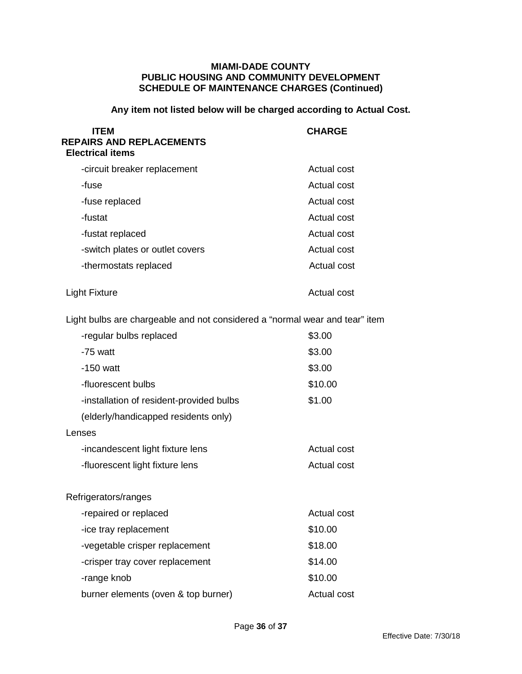#### **MIAMI-DADE COUNTY PUBLIC HOUSING AND COMMUNITY DEVELOPMENT SCHEDULE OF MAINTENANCE CHARGES (Continued)**

# **Any item not listed below will be charged according to Actual Cost.**

| <b>ITEM</b><br><b>REPAIRS AND REPLACEMENTS</b><br><b>Electrical items</b>   | <b>CHARGE</b>      |
|-----------------------------------------------------------------------------|--------------------|
| -circuit breaker replacement                                                | <b>Actual cost</b> |
| -fuse                                                                       | <b>Actual cost</b> |
| -fuse replaced                                                              | <b>Actual cost</b> |
| -fustat                                                                     | <b>Actual cost</b> |
| -fustat replaced                                                            | <b>Actual cost</b> |
| -switch plates or outlet covers                                             | <b>Actual cost</b> |
| -thermostats replaced                                                       | <b>Actual cost</b> |
| <b>Light Fixture</b>                                                        | <b>Actual cost</b> |
| Light bulbs are chargeable and not considered a "normal wear and tear" item |                    |
| -regular bulbs replaced                                                     | \$3.00             |
| -75 watt                                                                    | \$3.00             |
| $-150$ watt                                                                 | \$3.00             |
| -fluorescent bulbs                                                          | \$10.00            |
| -installation of resident-provided bulbs                                    | \$1.00             |
| (elderly/handicapped residents only)                                        |                    |
| Lenses                                                                      |                    |
| -incandescent light fixture lens                                            | <b>Actual cost</b> |
| -fluorescent light fixture lens                                             | <b>Actual cost</b> |
| Refrigerators/ranges                                                        |                    |
| -repaired or replaced                                                       | Actual cost        |
| -ice tray replacement                                                       | \$10.00            |
| -vegetable crisper replacement                                              | \$18.00            |
| -crisper tray cover replacement                                             | \$14.00            |
| -range knob                                                                 | \$10.00            |
| burner elements (oven & top burner)                                         | Actual cost        |